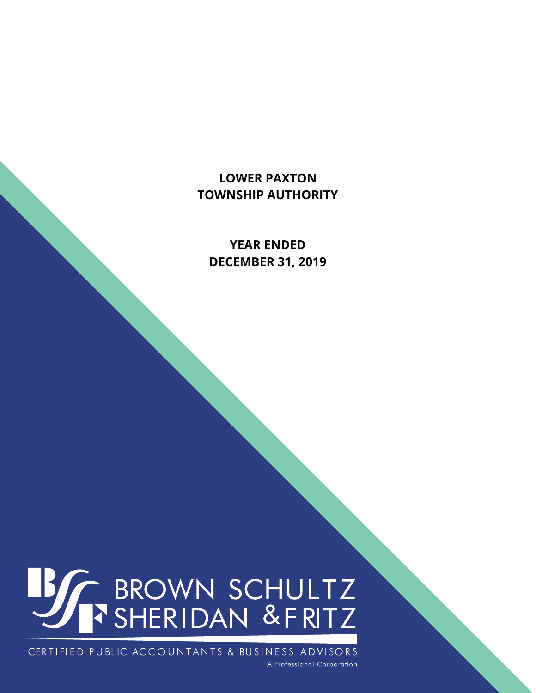**YEAR ENDED DECEMBER 31, 2019** 

# **BSACES** BROWN SCHULTZ

CERTIFIED PUBLIC ACCOUNTANTS & BUSINESS ADVISORS A Professional Corporation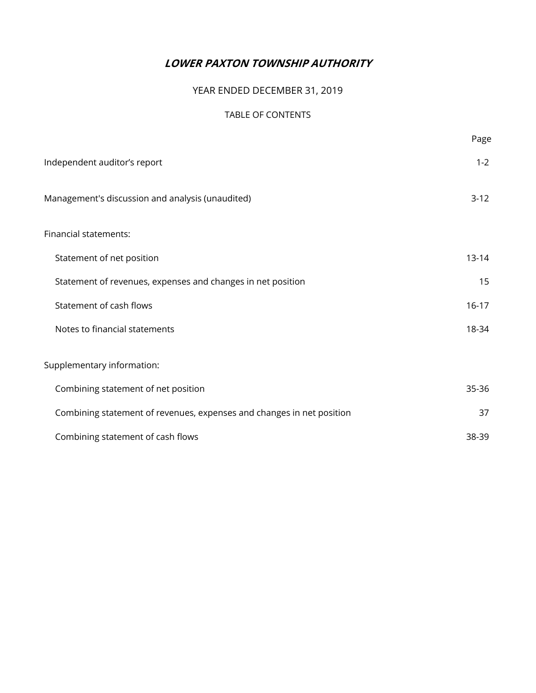## YEAR ENDED DECEMBER 31, 2019

#### TABLE OF CONTENTS

|                                                                       | Page      |
|-----------------------------------------------------------------------|-----------|
| Independent auditor's report                                          | $1 - 2$   |
| Management's discussion and analysis (unaudited)                      | $3-12$    |
| Financial statements:                                                 |           |
| Statement of net position                                             | $13 - 14$ |
| Statement of revenues, expenses and changes in net position           | 15        |
| Statement of cash flows                                               | $16 - 17$ |
| Notes to financial statements                                         | 18-34     |
| Supplementary information:                                            |           |
| Combining statement of net position                                   | 35-36     |
| Combining statement of revenues, expenses and changes in net position | 37        |
| Combining statement of cash flows                                     | 38-39     |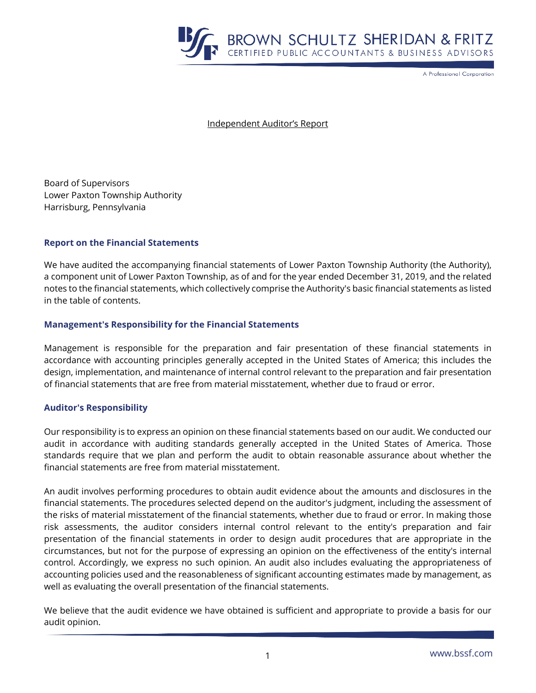

A Professional Corporation

Independent Auditor's Report

Board of Supervisors Lower Paxton Township Authority Harrisburg, Pennsylvania

#### **Report on the Financial Statements**

We have audited the accompanying financial statements of Lower Paxton Township Authority (the Authority), a component unit of Lower Paxton Township, as of and for the year ended December 31, 2019, and the related notes to the financial statements, which collectively comprise the Authority's basic financial statements as listed in the table of contents.

#### **Management's Responsibility for the Financial Statements**

Management is responsible for the preparation and fair presentation of these financial statements in accordance with accounting principles generally accepted in the United States of America; this includes the design, implementation, and maintenance of internal control relevant to the preparation and fair presentation of financial statements that are free from material misstatement, whether due to fraud or error.

#### **Auditor's Responsibility**

Our responsibility is to express an opinion on these financial statements based on our audit. We conducted our audit in accordance with auditing standards generally accepted in the United States of America. Those standards require that we plan and perform the audit to obtain reasonable assurance about whether the financial statements are free from material misstatement.

An audit involves performing procedures to obtain audit evidence about the amounts and disclosures in the financial statements. The procedures selected depend on the auditor's judgment, including the assessment of the risks of material misstatement of the financial statements, whether due to fraud or error. In making those risk assessments, the auditor considers internal control relevant to the entity's preparation and fair presentation of the financial statements in order to design audit procedures that are appropriate in the circumstances, but not for the purpose of expressing an opinion on the effectiveness of the entity's internal control. Accordingly, we express no such opinion. An audit also includes evaluating the appropriateness of accounting policies used and the reasonableness of significant accounting estimates made by management, as well as evaluating the overall presentation of the financial statements.

We believe that the audit evidence we have obtained is sufficient and appropriate to provide a basis for our audit opinion.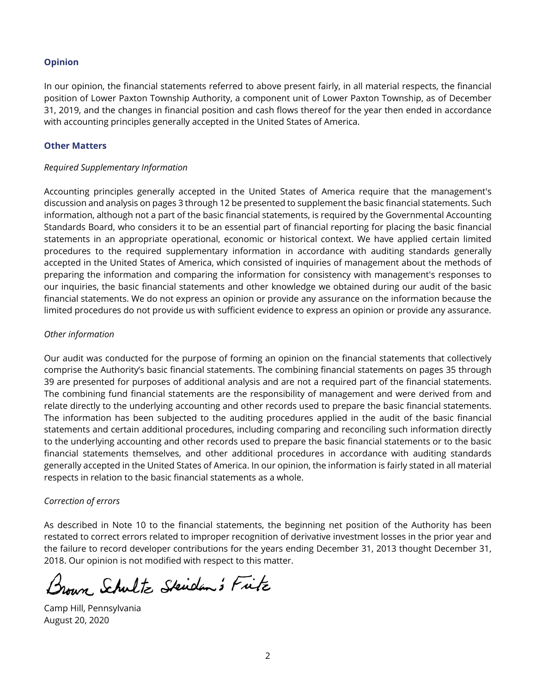#### **Opinion**

In our opinion, the financial statements referred to above present fairly, in all material respects, the financial position of Lower Paxton Township Authority, a component unit of Lower Paxton Township, as of December 31, 2019, and the changes in financial position and cash flows thereof for the year then ended in accordance with accounting principles generally accepted in the United States of America.

#### **Other Matters**

#### *Required Supplementary Information*

Accounting principles generally accepted in the United States of America require that the management's discussion and analysis on pages 3 through 12 be presented to supplement the basic financial statements. Such information, although not a part of the basic financial statements, is required by the Governmental Accounting Standards Board, who considers it to be an essential part of financial reporting for placing the basic financial statements in an appropriate operational, economic or historical context. We have applied certain limited procedures to the required supplementary information in accordance with auditing standards generally accepted in the United States of America, which consisted of inquiries of management about the methods of preparing the information and comparing the information for consistency with management's responses to our inquiries, the basic financial statements and other knowledge we obtained during our audit of the basic financial statements. We do not express an opinion or provide any assurance on the information because the limited procedures do not provide us with sufficient evidence to express an opinion or provide any assurance.

#### *Other information*

Our audit was conducted for the purpose of forming an opinion on the financial statements that collectively comprise the Authority's basic financial statements. The combining financial statements on pages 35 through 39 are presented for purposes of additional analysis and are not a required part of the financial statements. The combining fund financial statements are the responsibility of management and were derived from and relate directly to the underlying accounting and other records used to prepare the basic financial statements. The information has been subjected to the auditing procedures applied in the audit of the basic financial statements and certain additional procedures, including comparing and reconciling such information directly to the underlying accounting and other records used to prepare the basic financial statements or to the basic financial statements themselves, and other additional procedures in accordance with auditing standards generally accepted in the United States of America. In our opinion, the information is fairly stated in all material respects in relation to the basic financial statements as a whole.

## *Correction of errors*

As described in Note 10 to the financial statements, the beginning net position of the Authority has been restated to correct errors related to improper recognition of derivative investment losses in the prior year and the failure to record developer contributions for the years ending December 31, 2013 thought December 31, 2018. Our opinion is not modified with respect to this matter.

Brown Schultz Skiden's Fitz

Camp Hill, Pennsylvania August 20, 2020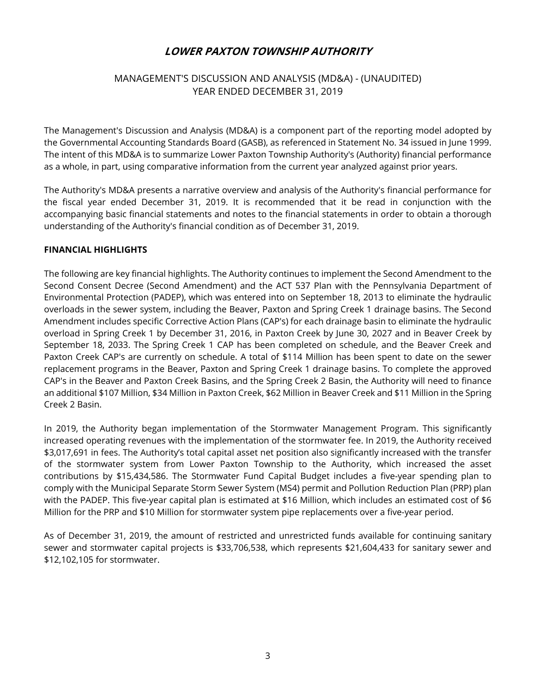## MANAGEMENT'S DISCUSSION AND ANALYSIS (MD&A) - (UNAUDITED) YEAR ENDED DECEMBER 31, 2019

The Management's Discussion and Analysis (MD&A) is a component part of the reporting model adopted by the Governmental Accounting Standards Board (GASB), as referenced in Statement No. 34 issued in June 1999. The intent of this MD&A is to summarize Lower Paxton Township Authority's (Authority) financial performance as a whole, in part, using comparative information from the current year analyzed against prior years.

The Authority's MD&A presents a narrative overview and analysis of the Authority's financial performance for the fiscal year ended December 31, 2019. It is recommended that it be read in conjunction with the accompanying basic financial statements and notes to the financial statements in order to obtain a thorough understanding of the Authority's financial condition as of December 31, 2019.

#### **FINANCIAL HIGHLIGHTS**

The following are key financial highlights. The Authority continues to implement the Second Amendment to the Second Consent Decree (Second Amendment) and the ACT 537 Plan with the Pennsylvania Department of Environmental Protection (PADEP), which was entered into on September 18, 2013 to eliminate the hydraulic overloads in the sewer system, including the Beaver, Paxton and Spring Creek 1 drainage basins. The Second Amendment includes specific Corrective Action Plans (CAP's) for each drainage basin to eliminate the hydraulic overload in Spring Creek 1 by December 31, 2016, in Paxton Creek by June 30, 2027 and in Beaver Creek by September 18, 2033. The Spring Creek 1 CAP has been completed on schedule, and the Beaver Creek and Paxton Creek CAP's are currently on schedule. A total of \$114 Million has been spent to date on the sewer replacement programs in the Beaver, Paxton and Spring Creek 1 drainage basins. To complete the approved CAP's in the Beaver and Paxton Creek Basins, and the Spring Creek 2 Basin, the Authority will need to finance an additional \$107 Million, \$34 Million in Paxton Creek, \$62 Million in Beaver Creek and \$11 Million in the Spring Creek 2 Basin.

In 2019, the Authority began implementation of the Stormwater Management Program. This significantly increased operating revenues with the implementation of the stormwater fee. In 2019, the Authority received \$3,017,691 in fees. The Authority's total capital asset net position also significantly increased with the transfer of the stormwater system from Lower Paxton Township to the Authority, which increased the asset contributions by \$15,434,586. The Stormwater Fund Capital Budget includes a five-year spending plan to comply with the Municipal Separate Storm Sewer System (MS4) permit and Pollution Reduction Plan (PRP) plan with the PADEP. This five-year capital plan is estimated at \$16 Million, which includes an estimated cost of \$6 Million for the PRP and \$10 Million for stormwater system pipe replacements over a five-year period.

As of December 31, 2019, the amount of restricted and unrestricted funds available for continuing sanitary sewer and stormwater capital projects is \$33,706,538, which represents \$21,604,433 for sanitary sewer and \$12,102,105 for stormwater.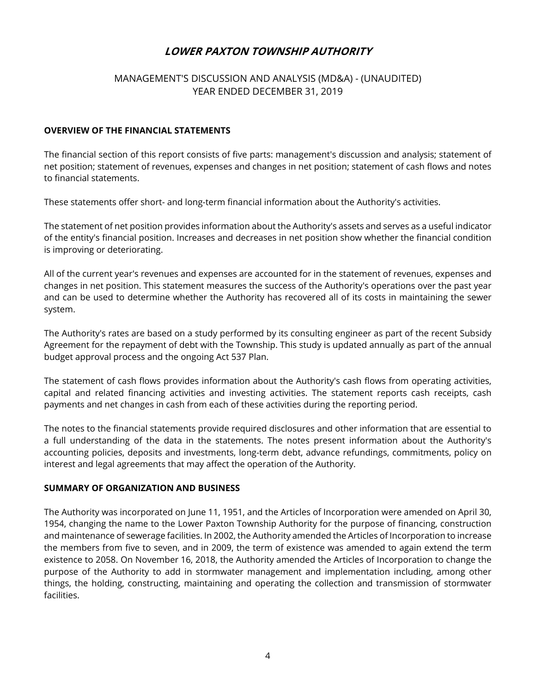## MANAGEMENT'S DISCUSSION AND ANALYSIS (MD&A) - (UNAUDITED) YEAR ENDED DECEMBER 31, 2019

#### **OVERVIEW OF THE FINANCIAL STATEMENTS**

The financial section of this report consists of five parts: management's discussion and analysis; statement of net position; statement of revenues, expenses and changes in net position; statement of cash flows and notes to financial statements.

These statements offer short- and long-term financial information about the Authority's activities.

The statement of net position provides information about the Authority's assets and serves as a useful indicator of the entity's financial position. Increases and decreases in net position show whether the financial condition is improving or deteriorating.

All of the current year's revenues and expenses are accounted for in the statement of revenues, expenses and changes in net position. This statement measures the success of the Authority's operations over the past year and can be used to determine whether the Authority has recovered all of its costs in maintaining the sewer system.

The Authority's rates are based on a study performed by its consulting engineer as part of the recent Subsidy Agreement for the repayment of debt with the Township. This study is updated annually as part of the annual budget approval process and the ongoing Act 537 Plan.

The statement of cash flows provides information about the Authority's cash flows from operating activities, capital and related financing activities and investing activities. The statement reports cash receipts, cash payments and net changes in cash from each of these activities during the reporting period.

The notes to the financial statements provide required disclosures and other information that are essential to a full understanding of the data in the statements. The notes present information about the Authority's accounting policies, deposits and investments, long-term debt, advance refundings, commitments, policy on interest and legal agreements that may affect the operation of the Authority.

#### **SUMMARY OF ORGANIZATION AND BUSINESS**

The Authority was incorporated on June 11, 1951, and the Articles of Incorporation were amended on April 30, 1954, changing the name to the Lower Paxton Township Authority for the purpose of financing, construction and maintenance of sewerage facilities. In 2002, the Authority amended the Articles of Incorporation to increase the members from five to seven, and in 2009, the term of existence was amended to again extend the term existence to 2058. On November 16, 2018, the Authority amended the Articles of Incorporation to change the purpose of the Authority to add in stormwater management and implementation including, among other things, the holding, constructing, maintaining and operating the collection and transmission of stormwater facilities.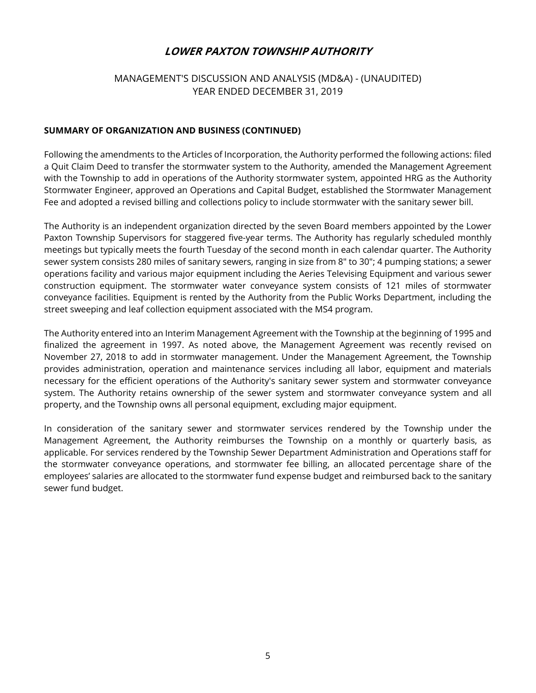## MANAGEMENT'S DISCUSSION AND ANALYSIS (MD&A) - (UNAUDITED) YEAR ENDED DECEMBER 31, 2019

#### **SUMMARY OF ORGANIZATION AND BUSINESS (CONTINUED)**

Following the amendments to the Articles of Incorporation, the Authority performed the following actions: filed a Quit Claim Deed to transfer the stormwater system to the Authority, amended the Management Agreement with the Township to add in operations of the Authority stormwater system, appointed HRG as the Authority Stormwater Engineer, approved an Operations and Capital Budget, established the Stormwater Management Fee and adopted a revised billing and collections policy to include stormwater with the sanitary sewer bill.

The Authority is an independent organization directed by the seven Board members appointed by the Lower Paxton Township Supervisors for staggered five-year terms. The Authority has regularly scheduled monthly meetings but typically meets the fourth Tuesday of the second month in each calendar quarter. The Authority sewer system consists 280 miles of sanitary sewers, ranging in size from 8" to 30"; 4 pumping stations; a sewer operations facility and various major equipment including the Aeries Televising Equipment and various sewer construction equipment. The stormwater water conveyance system consists of 121 miles of stormwater conveyance facilities. Equipment is rented by the Authority from the Public Works Department, including the street sweeping and leaf collection equipment associated with the MS4 program.

The Authority entered into an Interim Management Agreement with the Township at the beginning of 1995 and finalized the agreement in 1997. As noted above, the Management Agreement was recently revised on November 27, 2018 to add in stormwater management. Under the Management Agreement, the Township provides administration, operation and maintenance services including all labor, equipment and materials necessary for the efficient operations of the Authority's sanitary sewer system and stormwater conveyance system. The Authority retains ownership of the sewer system and stormwater conveyance system and all property, and the Township owns all personal equipment, excluding major equipment.

In consideration of the sanitary sewer and stormwater services rendered by the Township under the Management Agreement, the Authority reimburses the Township on a monthly or quarterly basis, as applicable. For services rendered by the Township Sewer Department Administration and Operations staff for the stormwater conveyance operations, and stormwater fee billing, an allocated percentage share of the employees' salaries are allocated to the stormwater fund expense budget and reimbursed back to the sanitary sewer fund budget.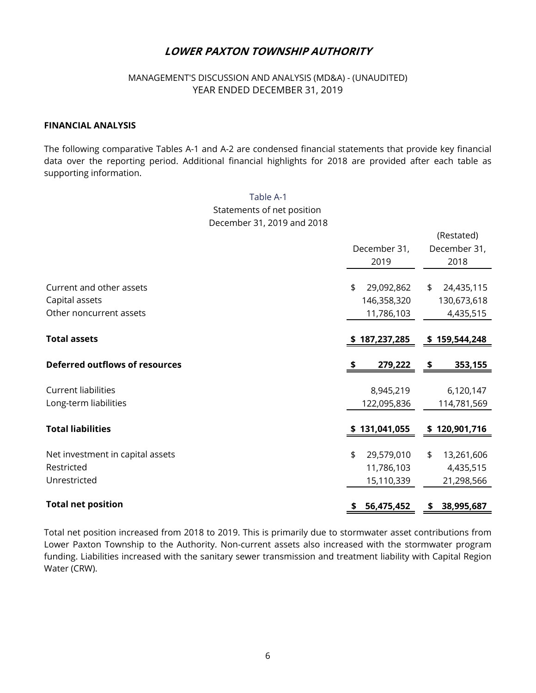## MANAGEMENT'S DISCUSSION AND ANALYSIS (MD&A) - (UNAUDITED) YEAR ENDED DECEMBER 31, 2019

#### **FINANCIAL ANALYSIS**

The following comparative Tables A-1 and A-2 are condensed financial statements that provide key financial data over the reporting period. Additional financial highlights for 2018 are provided after each table as supporting information.

> Table A-1 Statements of net position December 31, 2019 and 2018

|                                       |    |               | (Restated)       |
|---------------------------------------|----|---------------|------------------|
|                                       |    | December 31,  | December 31,     |
|                                       |    | 2019          | 2018             |
|                                       |    |               |                  |
| Current and other assets              | \$ | 29,092,862    | \$<br>24,435,115 |
| Capital assets                        |    | 146,358,320   | 130,673,618      |
| Other noncurrent assets               |    | 11,786,103    | 4,435,515        |
|                                       |    |               |                  |
| <b>Total assets</b>                   |    | \$187,237,285 | \$159,544,248    |
| <b>Deferred outflows of resources</b> | S  | 279,222       | \$<br>353,155    |
| <b>Current liabilities</b>            |    | 8,945,219     | 6,120,147        |
| Long-term liabilities                 |    | 122,095,836   | 114,781,569      |
|                                       |    |               |                  |
| <b>Total liabilities</b>              |    | \$131,041,055 | \$120,901,716    |
| Net investment in capital assets      | \$ | 29,579,010    | \$<br>13,261,606 |
| Restricted                            |    | 11,786,103    | 4,435,515        |
| Unrestricted                          |    | 15,110,339    | 21,298,566       |
| <b>Total net position</b>             | \$ | 56,475,452    | \$<br>38,995,687 |

Total net position increased from 2018 to 2019. This is primarily due to stormwater asset contributions from Lower Paxton Township to the Authority. Non-current assets also increased with the stormwater program funding. Liabilities increased with the sanitary sewer transmission and treatment liability with Capital Region Water (CRW).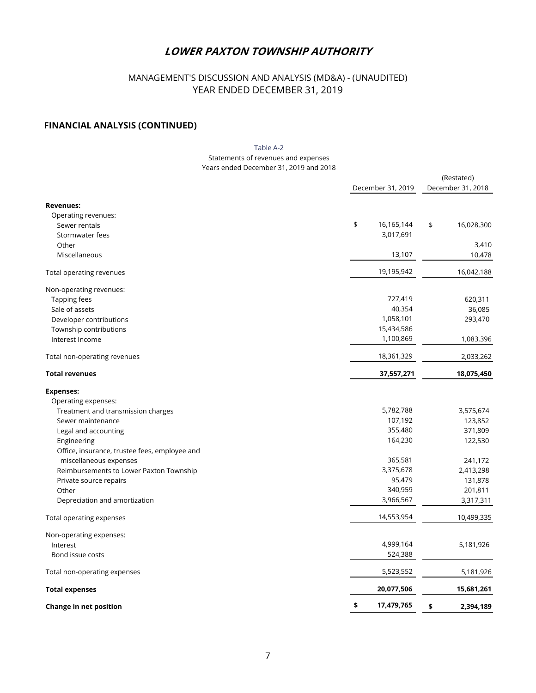## MANAGEMENT'S DISCUSSION AND ANALYSIS (MD&A) - (UNAUDITED) YEAR ENDED DECEMBER 31, 2019

#### **FINANCIAL ANALYSIS (CONTINUED)**

#### Years ended December 31, 2019 and 2018 Statements of revenues and expenses Table A-2

|                                               |                   | (Restated)        |
|-----------------------------------------------|-------------------|-------------------|
|                                               | December 31, 2019 | December 31, 2018 |
| <b>Revenues:</b>                              |                   |                   |
| Operating revenues:                           |                   |                   |
| Sewer rentals                                 | \$<br>16,165,144  | \$<br>16,028,300  |
| Stormwater fees                               | 3,017,691         |                   |
| Other                                         |                   | 3,410             |
| Miscellaneous                                 | 13,107            | 10,478            |
| Total operating revenues                      | 19,195,942        | 16,042,188        |
| Non-operating revenues:                       |                   |                   |
| Tapping fees                                  | 727,419           | 620,311           |
| Sale of assets                                | 40,354            | 36,085            |
| Developer contributions                       | 1,058,101         | 293,470           |
| Township contributions                        | 15,434,586        |                   |
| Interest Income                               | 1,100,869         | 1,083,396         |
| Total non-operating revenues                  | 18,361,329        | 2,033,262         |
| <b>Total revenues</b>                         | 37,557,271        | 18,075,450        |
| <b>Expenses:</b>                              |                   |                   |
| Operating expenses:                           |                   |                   |
| Treatment and transmission charges            | 5,782,788         | 3,575,674         |
| Sewer maintenance                             | 107,192           | 123,852           |
| Legal and accounting                          | 355,480           | 371,809           |
| Engineering                                   | 164,230           | 122,530           |
| Office, insurance, trustee fees, employee and |                   |                   |
| miscellaneous expenses                        | 365,581           | 241,172           |
| Reimbursements to Lower Paxton Township       | 3,375,678         | 2,413,298         |
| Private source repairs                        | 95,479            | 131,878           |
| Other                                         | 340,959           | 201,811           |
| Depreciation and amortization                 | 3,966,567         | 3,317,311         |
| Total operating expenses                      | 14,553,954        | 10,499,335        |
| Non-operating expenses:                       |                   |                   |
| Interest                                      | 4,999,164         | 5,181,926         |
| Bond issue costs                              | 524,388           |                   |
| Total non-operating expenses                  | 5,523,552         | 5,181,926         |
| <b>Total expenses</b>                         | 20,077,506        | 15,681,261        |
| Change in net position                        | \$<br>17,479,765  | \$<br>2,394,189   |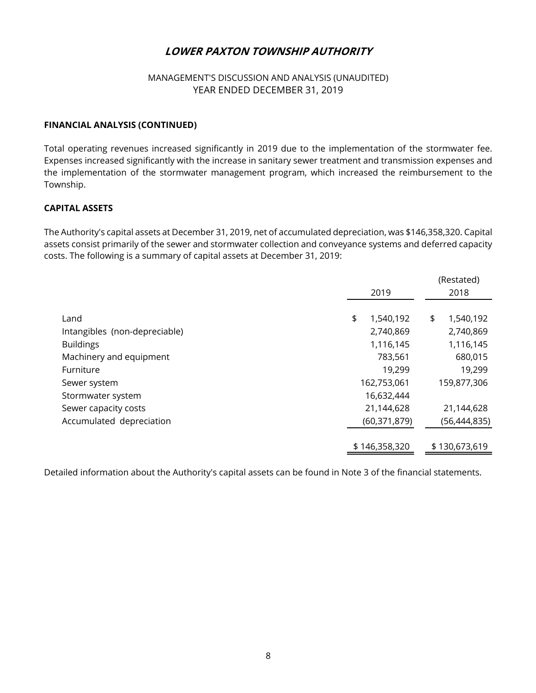## MANAGEMENT'S DISCUSSION AND ANALYSIS (UNAUDITED) YEAR ENDED DECEMBER 31, 2019

#### **FINANCIAL ANALYSIS (CONTINUED)**

Total operating revenues increased significantly in 2019 due to the implementation of the stormwater fee. Expenses increased significantly with the increase in sanitary sewer treatment and transmission expenses and the implementation of the stormwater management program, which increased the reimbursement to the Township.

## **CAPITAL ASSETS**

The Authority's capital assets at December 31, 2019, net of accumulated depreciation, was \$146,358,320. Capital assets consist primarily of the sewer and stormwater collection and conveyance systems and deferred capacity costs. The following is a summary of capital assets at December 31, 2019:

|                               |                 | (Restated)      |
|-------------------------------|-----------------|-----------------|
|                               | 2019            | 2018            |
|                               |                 |                 |
| Land                          | 1,540,192<br>\$ | \$<br>1,540,192 |
| Intangibles (non-depreciable) | 2,740,869       | 2,740,869       |
| <b>Buildings</b>              | 1,116,145       | 1,116,145       |
| Machinery and equipment       | 783,561         | 680,015         |
| Furniture                     | 19,299          | 19,299          |
| Sewer system                  | 162,753,061     | 159,877,306     |
| Stormwater system             | 16,632,444      |                 |
| Sewer capacity costs          | 21,144,628      | 21,144,628      |
| Accumulated depreciation      | (60, 371, 879)  | (56,444,835)    |
|                               |                 |                 |
|                               | \$146,358,320   | \$130,673,619   |
|                               |                 |                 |

Detailed information about the Authority's capital assets can be found in Note 3 of the financial statements.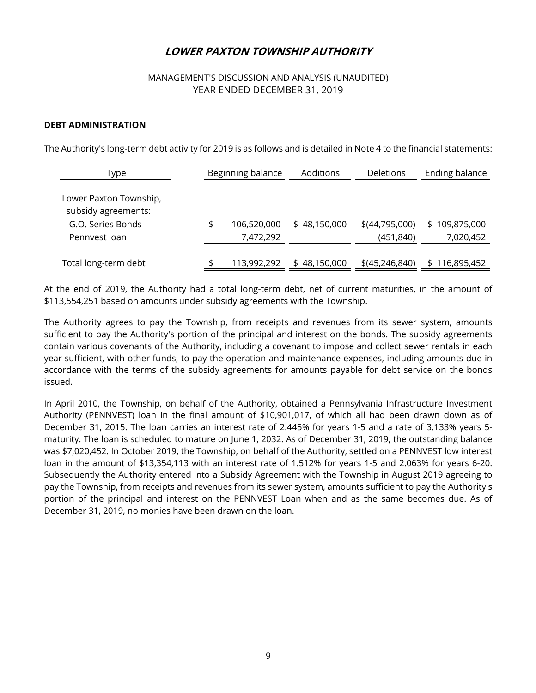## MANAGEMENT'S DISCUSSION AND ANALYSIS (UNAUDITED) YEAR ENDED DECEMBER 31, 2019

#### **DEBT ADMINISTRATION**

The Authority's long-term debt activity for 2019 is as follows and is detailed in Note 4 to the financial statements:

| Type                                                                                | Beginning balance              | Additions    | <b>Deletions</b>               | Ending balance             |
|-------------------------------------------------------------------------------------|--------------------------------|--------------|--------------------------------|----------------------------|
| Lower Paxton Township,<br>subsidy agreements:<br>G.O. Series Bonds<br>Pennyest loan | \$<br>106,520,000<br>7,472,292 | \$48,150,000 | $$$ (44,795,000)<br>(451, 840) | \$109,875,000<br>7,020,452 |
| Total long-term debt                                                                | \$<br>113,992,292              | \$48,150,000 | $$$ (45,246,840)               | \$116,895,452              |

At the end of 2019, the Authority had a total long-term debt, net of current maturities, in the amount of \$113,554,251 based on amounts under subsidy agreements with the Township.

The Authority agrees to pay the Township, from receipts and revenues from its sewer system, amounts sufficient to pay the Authority's portion of the principal and interest on the bonds. The subsidy agreements contain various covenants of the Authority, including a covenant to impose and collect sewer rentals in each year sufficient, with other funds, to pay the operation and maintenance expenses, including amounts due in accordance with the terms of the subsidy agreements for amounts payable for debt service on the bonds issued.

In April 2010, the Township, on behalf of the Authority, obtained a Pennsylvania Infrastructure Investment Authority (PENNVEST) loan in the final amount of \$10,901,017, of which all had been drawn down as of December 31, 2015. The loan carries an interest rate of 2.445% for years 1-5 and a rate of 3.133% years 5 maturity. The loan is scheduled to mature on June 1, 2032. As of December 31, 2019, the outstanding balance was \$7,020,452. In October 2019, the Township, on behalf of the Authority, settled on a PENNVEST low interest loan in the amount of \$13,354,113 with an interest rate of 1.512% for years 1-5 and 2.063% for years 6-20. Subsequently the Authority entered into a Subsidy Agreement with the Township in August 2019 agreeing to pay the Township, from receipts and revenues from its sewer system, amounts sufficient to pay the Authority's portion of the principal and interest on the PENNVEST Loan when and as the same becomes due. As of December 31, 2019, no monies have been drawn on the loan.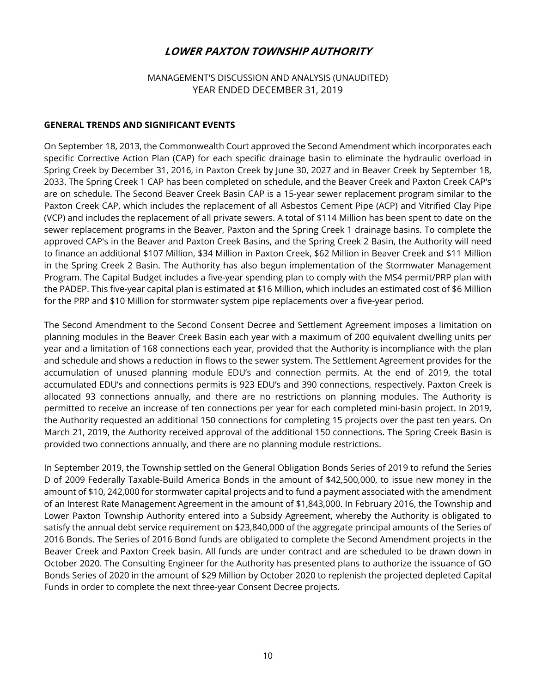## MANAGEMENT'S DISCUSSION AND ANALYSIS (UNAUDITED) YEAR ENDED DECEMBER 31, 2019

#### **GENERAL TRENDS AND SIGNIFICANT EVENTS**

On September 18, 2013, the Commonwealth Court approved the Second Amendment which incorporates each specific Corrective Action Plan (CAP) for each specific drainage basin to eliminate the hydraulic overload in Spring Creek by December 31, 2016, in Paxton Creek by June 30, 2027 and in Beaver Creek by September 18, 2033. The Spring Creek 1 CAP has been completed on schedule, and the Beaver Creek and Paxton Creek CAP's are on schedule. The Second Beaver Creek Basin CAP is a 15-year sewer replacement program similar to the Paxton Creek CAP, which includes the replacement of all Asbestos Cement Pipe (ACP) and Vitrified Clay Pipe (VCP) and includes the replacement of all private sewers. A total of \$114 Million has been spent to date on the sewer replacement programs in the Beaver, Paxton and the Spring Creek 1 drainage basins. To complete the approved CAP's in the Beaver and Paxton Creek Basins, and the Spring Creek 2 Basin, the Authority will need to finance an additional \$107 Million, \$34 Million in Paxton Creek, \$62 Million in Beaver Creek and \$11 Million in the Spring Creek 2 Basin. The Authority has also begun implementation of the Stormwater Management Program. The Capital Budget includes a five-year spending plan to comply with the MS4 permit/PRP plan with the PADEP. This five-year capital plan is estimated at \$16 Million, which includes an estimated cost of \$6 Million for the PRP and \$10 Million for stormwater system pipe replacements over a five-year period.

The Second Amendment to the Second Consent Decree and Settlement Agreement imposes a limitation on planning modules in the Beaver Creek Basin each year with a maximum of 200 equivalent dwelling units per year and a limitation of 168 connections each year, provided that the Authority is incompliance with the plan and schedule and shows a reduction in flows to the sewer system. The Settlement Agreement provides for the accumulation of unused planning module EDU's and connection permits. At the end of 2019, the total accumulated EDU's and connections permits is 923 EDU's and 390 connections, respectively. Paxton Creek is allocated 93 connections annually, and there are no restrictions on planning modules. The Authority is permitted to receive an increase of ten connections per year for each completed mini-basin project. In 2019, the Authority requested an additional 150 connections for completing 15 projects over the past ten years. On March 21, 2019, the Authority received approval of the additional 150 connections. The Spring Creek Basin is provided two connections annually, and there are no planning module restrictions.

In September 2019, the Township settled on the General Obligation Bonds Series of 2019 to refund the Series D of 2009 Federally Taxable-Build America Bonds in the amount of \$42,500,000, to issue new money in the amount of \$10, 242,000 for stormwater capital projects and to fund a payment associated with the amendment of an Interest Rate Management Agreement in the amount of \$1,843,000. In February 2016, the Township and Lower Paxton Township Authority entered into a Subsidy Agreement, whereby the Authority is obligated to satisfy the annual debt service requirement on \$23,840,000 of the aggregate principal amounts of the Series of 2016 Bonds. The Series of 2016 Bond funds are obligated to complete the Second Amendment projects in the Beaver Creek and Paxton Creek basin. All funds are under contract and are scheduled to be drawn down in October 2020. The Consulting Engineer for the Authority has presented plans to authorize the issuance of GO Bonds Series of 2020 in the amount of \$29 Million by October 2020 to replenish the projected depleted Capital Funds in order to complete the next three-year Consent Decree projects.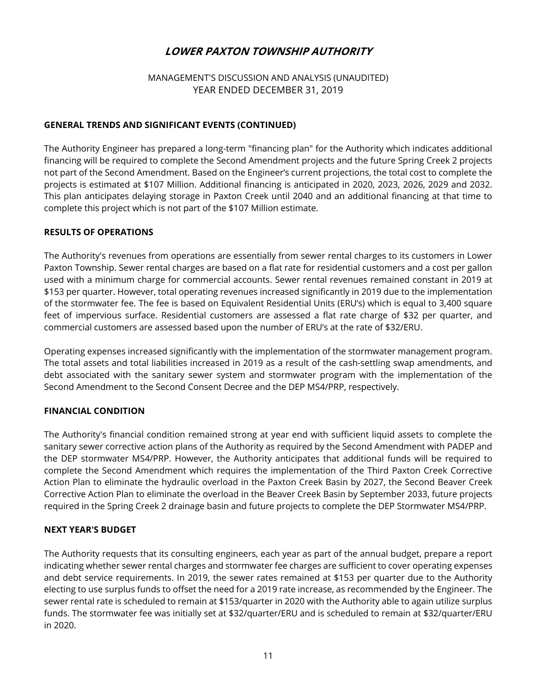## MANAGEMENT'S DISCUSSION AND ANALYSIS (UNAUDITED) YEAR ENDED DECEMBER 31, 2019

## **GENERAL TRENDS AND SIGNIFICANT EVENTS (CONTINUED)**

The Authority Engineer has prepared a long-term "financing plan" for the Authority which indicates additional financing will be required to complete the Second Amendment projects and the future Spring Creek 2 projects not part of the Second Amendment. Based on the Engineer's current projections, the total cost to complete the projects is estimated at \$107 Million. Additional financing is anticipated in 2020, 2023, 2026, 2029 and 2032. This plan anticipates delaying storage in Paxton Creek until 2040 and an additional financing at that time to complete this project which is not part of the \$107 Million estimate.

#### **RESULTS OF OPERATIONS**

The Authority's revenues from operations are essentially from sewer rental charges to its customers in Lower Paxton Township. Sewer rental charges are based on a flat rate for residential customers and a cost per gallon used with a minimum charge for commercial accounts. Sewer rental revenues remained constant in 2019 at \$153 per quarter. However, total operating revenues increased significantly in 2019 due to the implementation of the stormwater fee. The fee is based on Equivalent Residential Units (ERU's) which is equal to 3,400 square feet of impervious surface. Residential customers are assessed a flat rate charge of \$32 per quarter, and commercial customers are assessed based upon the number of ERU's at the rate of \$32/ERU.

Operating expenses increased significantly with the implementation of the stormwater management program. The total assets and total liabilities increased in 2019 as a result of the cash-settling swap amendments, and debt associated with the sanitary sewer system and stormwater program with the implementation of the Second Amendment to the Second Consent Decree and the DEP MS4/PRP, respectively.

#### **FINANCIAL CONDITION**

The Authority's financial condition remained strong at year end with sufficient liquid assets to complete the sanitary sewer corrective action plans of the Authority as required by the Second Amendment with PADEP and the DEP stormwater MS4/PRP. However, the Authority anticipates that additional funds will be required to complete the Second Amendment which requires the implementation of the Third Paxton Creek Corrective Action Plan to eliminate the hydraulic overload in the Paxton Creek Basin by 2027, the Second Beaver Creek Corrective Action Plan to eliminate the overload in the Beaver Creek Basin by September 2033, future projects required in the Spring Creek 2 drainage basin and future projects to complete the DEP Stormwater MS4/PRP.

#### **NEXT YEAR'S BUDGET**

The Authority requests that its consulting engineers, each year as part of the annual budget, prepare a report indicating whether sewer rental charges and stormwater fee charges are sufficient to cover operating expenses and debt service requirements. In 2019, the sewer rates remained at \$153 per quarter due to the Authority electing to use surplus funds to offset the need for a 2019 rate increase, as recommended by the Engineer. The sewer rental rate is scheduled to remain at \$153/quarter in 2020 with the Authority able to again utilize surplus funds. The stormwater fee was initially set at \$32/quarter/ERU and is scheduled to remain at \$32/quarter/ERU in 2020.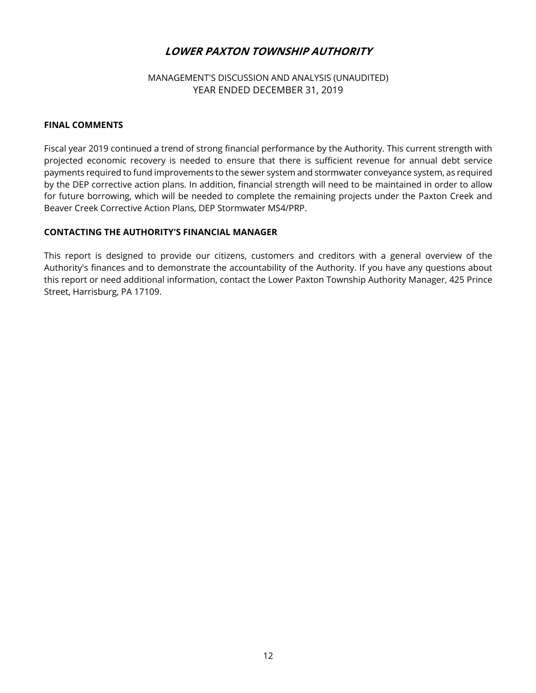## MANAGEMENT'S DISCUSSION AND ANALYSIS (UNAUDITED) YEAR ENDED DECEMBER 31, 2019

#### **FINAL COMMENTS**

Fiscal year 2019 continued a trend of strong financial performance by the Authority. This current strength with projected economic recovery is needed to ensure that there is sufficient revenue for annual debt service payments required to fund improvements to the sewer system and stormwater conveyance system, as required by the DEP corrective action plans. In addition, financial strength will need to be maintained in order to allow for future borrowing, which will be needed to complete the remaining projects under the Paxton Creek and Beaver Creek Corrective Action Plans, DEP Stormwater MS4/PRP.

#### **CONTACTING THE AUTHORITY'S FINANCIAL MANAGER**

This report is designed to provide our citizens, customers and creditors with a general overview of the Authority's finances and to demonstrate the accountability of the Authority. If you have any questions about this report or need additional information, contact the Lower Paxton Township Authority Manager, 425 Prince Street, Harrisburg, PA 17109.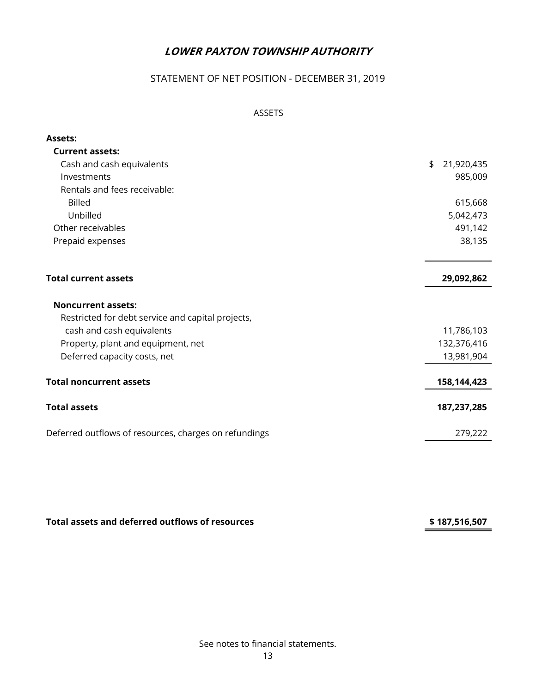# STATEMENT OF NET POSITION - DECEMBER 31, 2019

## ASSETS

| <b>Assets:</b>                                        |                  |
|-------------------------------------------------------|------------------|
| <b>Current assets:</b>                                |                  |
| Cash and cash equivalents                             | \$<br>21,920,435 |
| Investments                                           | 985,009          |
| Rentals and fees receivable:                          |                  |
| <b>Billed</b>                                         | 615,668          |
| Unbilled                                              | 5,042,473        |
| Other receivables                                     | 491,142          |
| Prepaid expenses                                      | 38,135           |
|                                                       |                  |
|                                                       |                  |
| <b>Total current assets</b>                           | 29,092,862       |
|                                                       |                  |
| <b>Noncurrent assets:</b>                             |                  |
| Restricted for debt service and capital projects,     |                  |
| cash and cash equivalents                             | 11,786,103       |
| Property, plant and equipment, net                    | 132,376,416      |
| Deferred capacity costs, net                          | 13,981,904       |
|                                                       |                  |
| <b>Total noncurrent assets</b>                        | 158,144,423      |
| <b>Total assets</b>                                   | 187,237,285      |
|                                                       |                  |
| Deferred outflows of resources, charges on refundings | 279,222          |

Total assets and deferred outflows of resources **187,516,507** \$ 187,516,507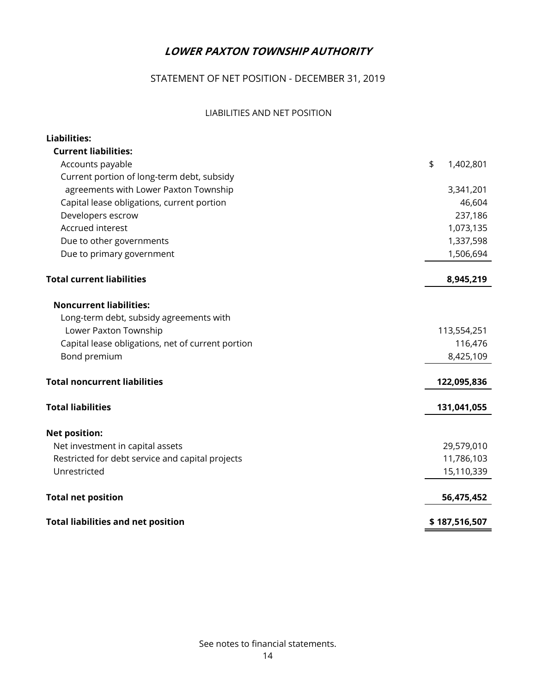# STATEMENT OF NET POSITION - DECEMBER 31, 2019

## LIABILITIES AND NET POSITION

| Liabilities:                                      |                 |
|---------------------------------------------------|-----------------|
| <b>Current liabilities:</b>                       |                 |
| Accounts payable                                  | \$<br>1,402,801 |
| Current portion of long-term debt, subsidy        |                 |
| agreements with Lower Paxton Township             | 3,341,201       |
| Capital lease obligations, current portion        | 46,604          |
| Developers escrow                                 | 237,186         |
| Accrued interest                                  | 1,073,135       |
| Due to other governments                          | 1,337,598       |
| Due to primary government                         | 1,506,694       |
| <b>Total current liabilities</b>                  | 8,945,219       |
| <b>Noncurrent liabilities:</b>                    |                 |
| Long-term debt, subsidy agreements with           |                 |
| Lower Paxton Township                             | 113,554,251     |
| Capital lease obligations, net of current portion | 116,476         |
| Bond premium                                      | 8,425,109       |
| <b>Total noncurrent liabilities</b>               | 122,095,836     |
| <b>Total liabilities</b>                          | 131,041,055     |
| <b>Net position:</b>                              |                 |
| Net investment in capital assets                  | 29,579,010      |
| Restricted for debt service and capital projects  | 11,786,103      |
| Unrestricted                                      | 15,110,339      |
| <b>Total net position</b>                         | 56,475,452      |
| <b>Total liabilities and net position</b>         | \$187,516,507   |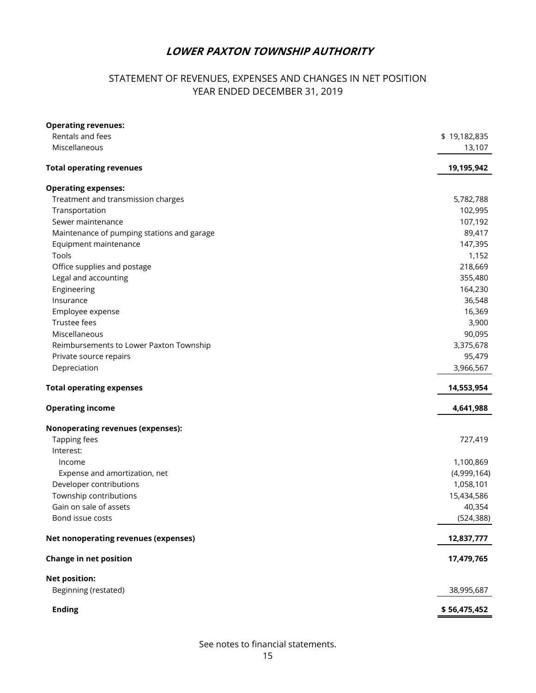# STATEMENT OF REVENUES, EXPENSES AND CHANGES IN NET POSITION YEAR ENDED DECEMBER 31, 2019

| <b>Operating revenues:</b>                 |              |
|--------------------------------------------|--------------|
| Rentals and fees                           | \$19,182,835 |
| Miscellaneous                              | 13,107       |
| <b>Total operating revenues</b>            | 19,195,942   |
| <b>Operating expenses:</b>                 |              |
| Treatment and transmission charges         | 5,782,788    |
| Transportation                             | 102,995      |
| Sewer maintenance                          | 107,192      |
| Maintenance of pumping stations and garage | 89,417       |
| Equipment maintenance                      | 147,395      |
| Tools                                      | 1,152        |
| Office supplies and postage                | 218,669      |
| Legal and accounting                       | 355,480      |
| Engineering                                | 164,230      |
| Insurance                                  | 36,548       |
| Employee expense                           | 16,369       |
| Trustee fees                               | 3,900        |
| Miscellaneous                              | 90,095       |
| Reimbursements to Lower Paxton Township    | 3,375,678    |
| Private source repairs                     | 95,479       |
| Depreciation                               | 3,966,567    |
| <b>Total operating expenses</b>            | 14,553,954   |
| <b>Operating income</b>                    | 4,641,988    |
| <b>Nonoperating revenues (expenses):</b>   |              |
| Tapping fees                               | 727,419      |
| Interest:                                  |              |
| Income                                     | 1,100,869    |
| Expense and amortization, net              | (4,999,164)  |
| Developer contributions                    | 1,058,101    |
| Township contributions                     | 15,434,586   |
| Gain on sale of assets                     | 40,354       |
| Bond issue costs                           | (524, 388)   |
| Net nonoperating revenues (expenses)       | 12,837,777   |
| <b>Change in net position</b>              | 17,479,765   |
| <b>Net position:</b>                       |              |
| Beginning (restated)                       | 38,995,687   |
| <b>Ending</b>                              | \$56,475,452 |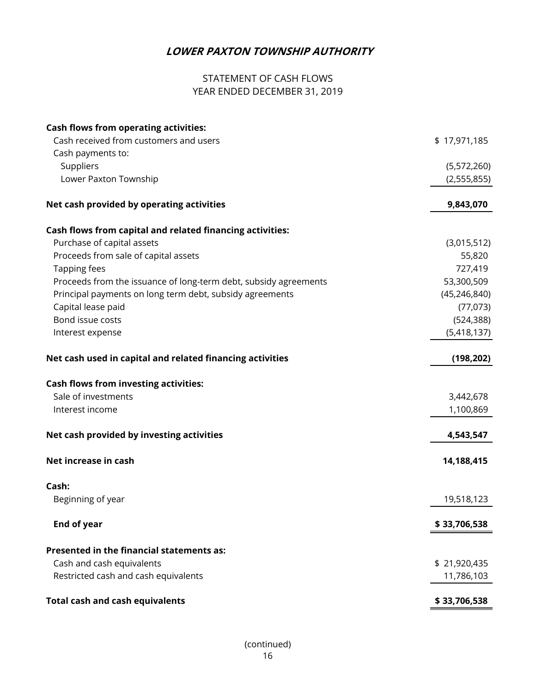# STATEMENT OF CASH FLOWS YEAR ENDED DECEMBER 31, 2019

| <b>Cash flows from operating activities:</b>                     |                |
|------------------------------------------------------------------|----------------|
| Cash received from customers and users                           | \$17,971,185   |
| Cash payments to:                                                |                |
| Suppliers                                                        | (5,572,260)    |
| Lower Paxton Township                                            | (2,555,855)    |
| Net cash provided by operating activities                        | 9,843,070      |
| Cash flows from capital and related financing activities:        |                |
| Purchase of capital assets                                       | (3,015,512)    |
| Proceeds from sale of capital assets                             | 55,820         |
| Tapping fees                                                     | 727,419        |
| Proceeds from the issuance of long-term debt, subsidy agreements | 53,300,509     |
| Principal payments on long term debt, subsidy agreements         | (45, 246, 840) |
| Capital lease paid                                               | (77, 073)      |
| Bond issue costs                                                 | (524, 388)     |
| Interest expense                                                 | (5,418,137)    |
| Net cash used in capital and related financing activities        | (198, 202)     |
| <b>Cash flows from investing activities:</b>                     |                |
| Sale of investments                                              | 3,442,678      |
| Interest income                                                  | 1,100,869      |
| Net cash provided by investing activities                        | 4,543,547      |
| Net increase in cash                                             | 14,188,415     |
| Cash:                                                            |                |
| Beginning of year                                                | 19,518,123     |
| <b>End of year</b>                                               | \$33,706,538   |
| Presented in the financial statements as:                        |                |
| Cash and cash equivalents                                        | \$21,920,435   |
| Restricted cash and cash equivalents                             | 11,786,103     |
| <b>Total cash and cash equivalents</b>                           | \$33,706,538   |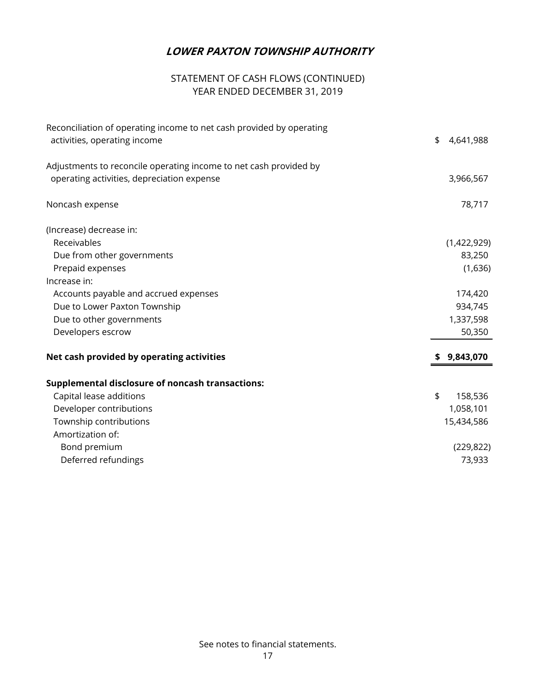# STATEMENT OF CASH FLOWS (CONTINUED) YEAR ENDED DECEMBER 31, 2019

| Reconciliation of operating income to net cash provided by operating<br>activities, operating income | \$<br>4,641,988 |
|------------------------------------------------------------------------------------------------------|-----------------|
| Adjustments to reconcile operating income to net cash provided by                                    |                 |
| operating activities, depreciation expense                                                           | 3,966,567       |
| Noncash expense                                                                                      | 78,717          |
| (Increase) decrease in:                                                                              |                 |
| Receivables                                                                                          | (1,422,929)     |
| Due from other governments                                                                           | 83,250          |
| Prepaid expenses                                                                                     | (1,636)         |
| Increase in:                                                                                         |                 |
| Accounts payable and accrued expenses                                                                | 174,420         |
| Due to Lower Paxton Township                                                                         | 934,745         |
| Due to other governments                                                                             | 1,337,598       |
| Developers escrow                                                                                    | 50,350          |
| Net cash provided by operating activities                                                            | 9,843,070       |
| <b>Supplemental disclosure of noncash transactions:</b>                                              |                 |
| Capital lease additions                                                                              | \$<br>158,536   |
| Developer contributions                                                                              | 1,058,101       |
| Township contributions                                                                               | 15,434,586      |
| Amortization of:                                                                                     |                 |
| Bond premium                                                                                         | (229, 822)      |
| Deferred refundings                                                                                  | 73,933          |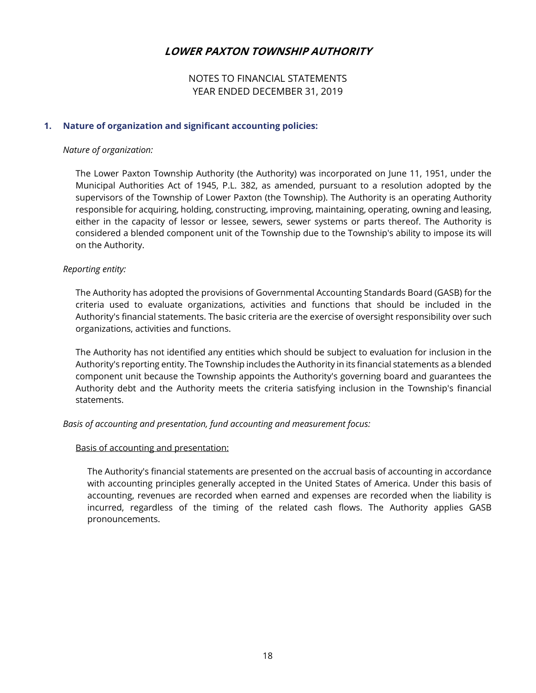## NOTES TO FINANCIAL STATEMENTS YEAR ENDED DECEMBER 31, 2019

#### **1. Nature of organization and significant accounting policies:**

#### *Nature of organization:*

 The Lower Paxton Township Authority (the Authority) was incorporated on June 11, 1951, under the Municipal Authorities Act of 1945, P.L. 382, as amended, pursuant to a resolution adopted by the supervisors of the Township of Lower Paxton (the Township). The Authority is an operating Authority responsible for acquiring, holding, constructing, improving, maintaining, operating, owning and leasing, either in the capacity of lessor or lessee, sewers, sewer systems or parts thereof. The Authority is considered a blended component unit of the Township due to the Township's ability to impose its will on the Authority.

#### *Reporting entity:*

 The Authority has adopted the provisions of Governmental Accounting Standards Board (GASB) for the criteria used to evaluate organizations, activities and functions that should be included in the Authority's financial statements. The basic criteria are the exercise of oversight responsibility over such organizations, activities and functions.

 The Authority has not identified any entities which should be subject to evaluation for inclusion in the Authority's reporting entity. The Township includes the Authority in its financial statements as a blended component unit because the Township appoints the Authority's governing board and guarantees the Authority debt and the Authority meets the criteria satisfying inclusion in the Township's financial statements.

#### *Basis of accounting and presentation, fund accounting and measurement focus:*

#### Basis of accounting and presentation:

 The Authority's financial statements are presented on the accrual basis of accounting in accordance with accounting principles generally accepted in the United States of America. Under this basis of accounting, revenues are recorded when earned and expenses are recorded when the liability is incurred, regardless of the timing of the related cash flows. The Authority applies GASB pronouncements.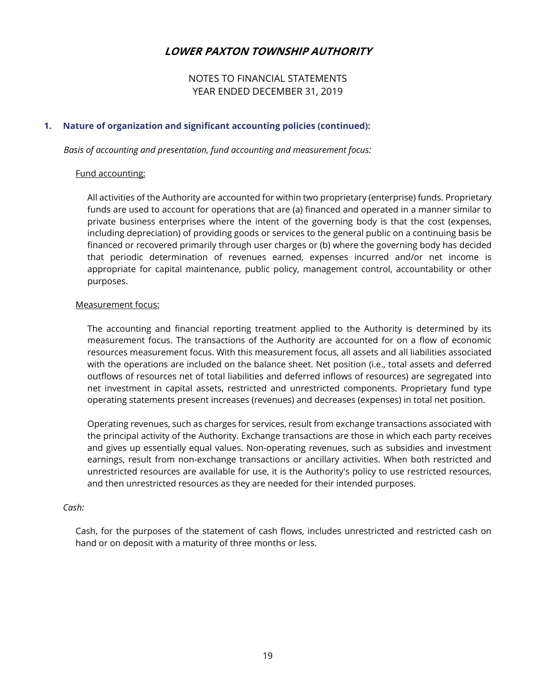NOTES TO FINANCIAL STATEMENTS YEAR ENDED DECEMBER 31, 2019

#### **1. Nature of organization and significant accounting policies (continued):**

*Basis of accounting and presentation, fund accounting and measurement focus:* 

#### Fund accounting:

 All activities of the Authority are accounted for within two proprietary (enterprise) funds. Proprietary funds are used to account for operations that are (a) financed and operated in a manner similar to private business enterprises where the intent of the governing body is that the cost (expenses, including depreciation) of providing goods or services to the general public on a continuing basis be financed or recovered primarily through user charges or (b) where the governing body has decided that periodic determination of revenues earned, expenses incurred and/or net income is appropriate for capital maintenance, public policy, management control, accountability or other purposes.

#### Measurement focus:

 The accounting and financial reporting treatment applied to the Authority is determined by its measurement focus. The transactions of the Authority are accounted for on a flow of economic resources measurement focus. With this measurement focus, all assets and all liabilities associated with the operations are included on the balance sheet. Net position (i.e., total assets and deferred outflows of resources net of total liabilities and deferred inflows of resources) are segregated into net investment in capital assets, restricted and unrestricted components. Proprietary fund type operating statements present increases (revenues) and decreases (expenses) in total net position.

 Operating revenues, such as charges for services, result from exchange transactions associated with the principal activity of the Authority. Exchange transactions are those in which each party receives and gives up essentially equal values. Non-operating revenues, such as subsidies and investment earnings, result from non-exchange transactions or ancillary activities. When both restricted and unrestricted resources are available for use, it is the Authority's policy to use restricted resources, and then unrestricted resources as they are needed for their intended purposes.

#### *Cash:*

 Cash, for the purposes of the statement of cash flows, includes unrestricted and restricted cash on hand or on deposit with a maturity of three months or less.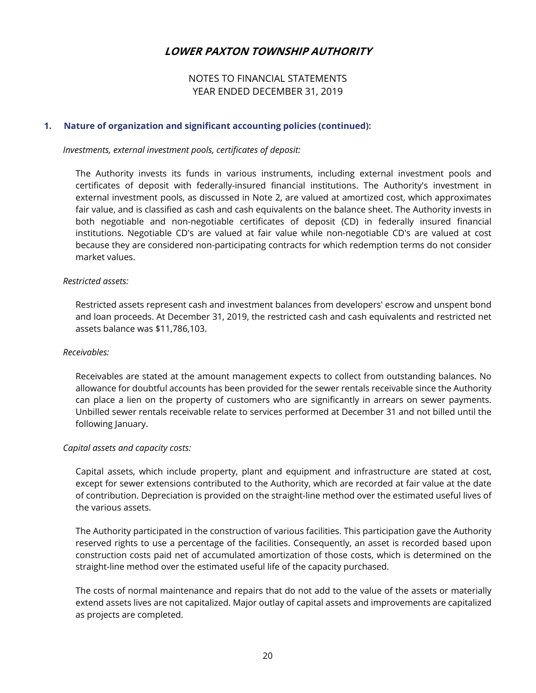## NOTES TO FINANCIAL STATEMENTS YEAR ENDED DECEMBER 31, 2019

#### **1. Nature of organization and significant accounting policies (continued):**

 *Investments, external investment pools, certificates of deposit:* 

 The Authority invests its funds in various instruments, including external investment pools and certificates of deposit with federally-insured financial institutions. The Authority's investment in external investment pools, as discussed in Note 2, are valued at amortized cost, which approximates fair value, and is classified as cash and cash equivalents on the balance sheet. The Authority invests in both negotiable and non-negotiable certificates of deposit (CD) in federally insured financial institutions. Negotiable CD's are valued at fair value while non-negotiable CD's are valued at cost because they are considered non-participating contracts for which redemption terms do not consider market values.

#### *Restricted assets:*

 Restricted assets represent cash and investment balances from developers' escrow and unspent bond and loan proceeds. At December 31, 2019, the restricted cash and cash equivalents and restricted net assets balance was \$11,786,103.

#### *Receivables:*

 Receivables are stated at the amount management expects to collect from outstanding balances. No allowance for doubtful accounts has been provided for the sewer rentals receivable since the Authority can place a lien on the property of customers who are significantly in arrears on sewer payments. Unbilled sewer rentals receivable relate to services performed at December 31 and not billed until the following January.

#### *Capital assets and capacity costs:*

 Capital assets, which include property, plant and equipment and infrastructure are stated at cost, except for sewer extensions contributed to the Authority, which are recorded at fair value at the date of contribution. Depreciation is provided on the straight-line method over the estimated useful lives of the various assets.

 The Authority participated in the construction of various facilities. This participation gave the Authority reserved rights to use a percentage of the facilities. Consequently, an asset is recorded based upon construction costs paid net of accumulated amortization of those costs, which is determined on the straight-line method over the estimated useful life of the capacity purchased.

 The costs of normal maintenance and repairs that do not add to the value of the assets or materially extend assets lives are not capitalized. Major outlay of capital assets and improvements are capitalized as projects are completed.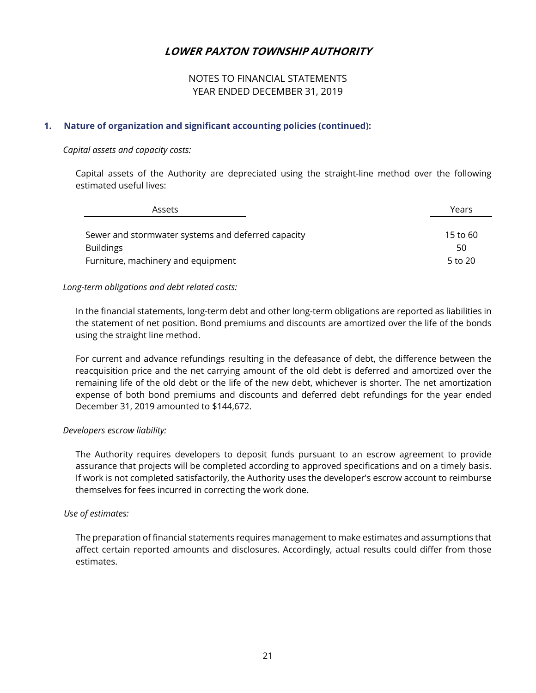## NOTES TO FINANCIAL STATEMENTS YEAR ENDED DECEMBER 31, 2019

## **1. Nature of organization and significant accounting policies (continued):**

#### *Capital assets and capacity costs:*

 Capital assets of the Authority are depreciated using the straight-line method over the following estimated useful lives:

| Assets                                             | Years    |
|----------------------------------------------------|----------|
|                                                    |          |
| Sewer and stormwater systems and deferred capacity | 15 to 60 |
| <b>Buildings</b>                                   | 50       |
| Furniture, machinery and equipment                 | 5 to 20  |

#### *Long-term obligations and debt related costs:*

 In the financial statements, long-term debt and other long-term obligations are reported as liabilities in the statement of net position. Bond premiums and discounts are amortized over the life of the bonds using the straight line method.

 For current and advance refundings resulting in the defeasance of debt, the difference between the reacquisition price and the net carrying amount of the old debt is deferred and amortized over the remaining life of the old debt or the life of the new debt, whichever is shorter. The net amortization expense of both bond premiums and discounts and deferred debt refundings for the year ended December 31, 2019 amounted to \$144,672.

#### *Developers escrow liability:*

 The Authority requires developers to deposit funds pursuant to an escrow agreement to provide assurance that projects will be completed according to approved specifications and on a timely basis. If work is not completed satisfactorily, the Authority uses the developer's escrow account to reimburse themselves for fees incurred in correcting the work done.

#### *Use of estimates:*

 The preparation of financial statements requires management to make estimates and assumptions that affect certain reported amounts and disclosures. Accordingly, actual results could differ from those estimates.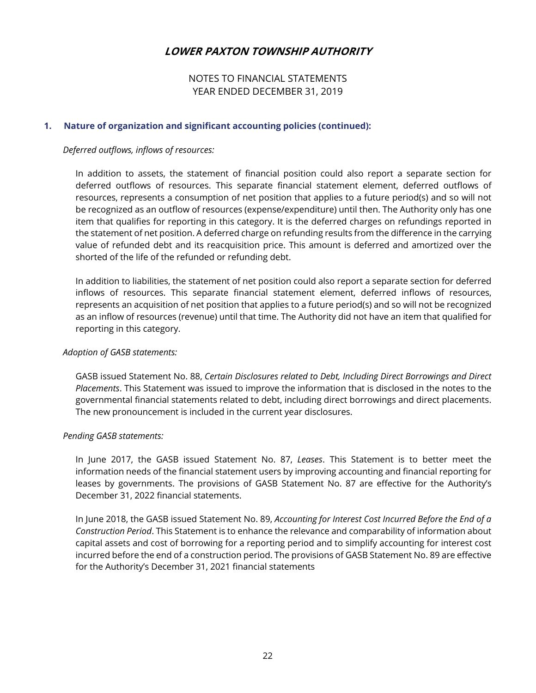## NOTES TO FINANCIAL STATEMENTS YEAR ENDED DECEMBER 31, 2019

#### **1. Nature of organization and significant accounting policies (continued):**

#### *Deferred outflows, inflows of resources:*

 In addition to assets, the statement of financial position could also report a separate section for deferred outflows of resources. This separate financial statement element, deferred outflows of resources, represents a consumption of net position that applies to a future period(s) and so will not be recognized as an outflow of resources (expense/expenditure) until then. The Authority only has one item that qualifies for reporting in this category. It is the deferred charges on refundings reported in the statement of net position. A deferred charge on refunding results from the difference in the carrying value of refunded debt and its reacquisition price. This amount is deferred and amortized over the shorted of the life of the refunded or refunding debt.

 In addition to liabilities, the statement of net position could also report a separate section for deferred inflows of resources. This separate financial statement element, deferred inflows of resources, represents an acquisition of net position that applies to a future period(s) and so will not be recognized as an inflow of resources (revenue) until that time. The Authority did not have an item that qualified for reporting in this category.

#### *Adoption of GASB statements:*

 GASB issued Statement No. 88, *Certain Disclosures related to Debt, Including Direct Borrowings and Direct Placements*. This Statement was issued to improve the information that is disclosed in the notes to the governmental financial statements related to debt, including direct borrowings and direct placements. The new pronouncement is included in the current year disclosures.

#### *Pending GASB statements:*

 In June 2017, the GASB issued Statement No. 87, *Leases*. This Statement is to better meet the information needs of the financial statement users by improving accounting and financial reporting for leases by governments. The provisions of GASB Statement No. 87 are effective for the Authority's December 31, 2022 financial statements.

 In June 2018, the GASB issued Statement No. 89, *Accounting for Interest Cost Incurred Before the End of a Construction Period*. This Statement is to enhance the relevance and comparability of information about capital assets and cost of borrowing for a reporting period and to simplify accounting for interest cost incurred before the end of a construction period. The provisions of GASB Statement No. 89 are effective for the Authority's December 31, 2021 financial statements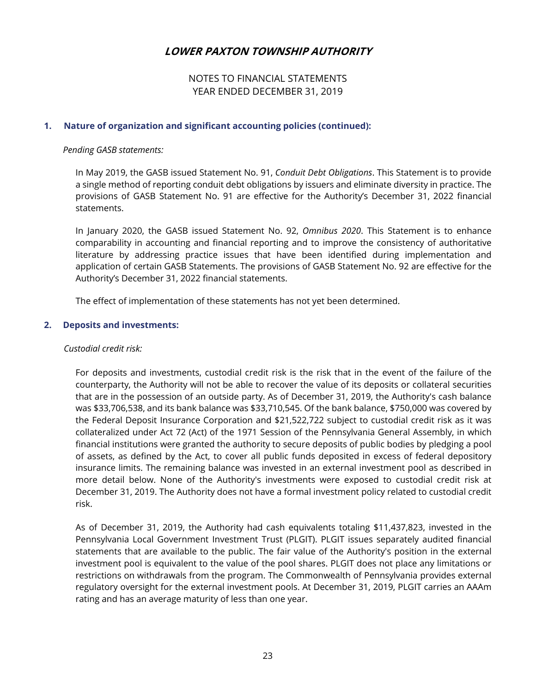NOTES TO FINANCIAL STATEMENTS YEAR ENDED DECEMBER 31, 2019

#### **1. Nature of organization and significant accounting policies (continued):**

#### *Pending GASB statements:*

 In May 2019, the GASB issued Statement No. 91, *Conduit Debt Obligations*. This Statement is to provide a single method of reporting conduit debt obligations by issuers and eliminate diversity in practice. The provisions of GASB Statement No. 91 are effective for the Authority's December 31, 2022 financial statements.

 In January 2020, the GASB issued Statement No. 92, *Omnibus 2020*. This Statement is to enhance comparability in accounting and financial reporting and to improve the consistency of authoritative literature by addressing practice issues that have been identified during implementation and application of certain GASB Statements. The provisions of GASB Statement No. 92 are effective for the Authority's December 31, 2022 financial statements.

The effect of implementation of these statements has not yet been determined.

#### **2. Deposits and investments:**

#### *Custodial credit risk:*

 For deposits and investments, custodial credit risk is the risk that in the event of the failure of the counterparty, the Authority will not be able to recover the value of its deposits or collateral securities that are in the possession of an outside party. As of December 31, 2019, the Authority's cash balance was \$33,706,538, and its bank balance was \$33,710,545. Of the bank balance, \$750,000 was covered by the Federal Deposit Insurance Corporation and \$21,522,722 subject to custodial credit risk as it was collateralized under Act 72 (Act) of the 1971 Session of the Pennsylvania General Assembly, in which financial institutions were granted the authority to secure deposits of public bodies by pledging a pool of assets, as defined by the Act, to cover all public funds deposited in excess of federal depository insurance limits. The remaining balance was invested in an external investment pool as described in more detail below. None of the Authority's investments were exposed to custodial credit risk at December 31, 2019. The Authority does not have a formal investment policy related to custodial credit risk.

 As of December 31, 2019, the Authority had cash equivalents totaling \$11,437,823, invested in the Pennsylvania Local Government Investment Trust (PLGIT). PLGIT issues separately audited financial statements that are available to the public. The fair value of the Authority's position in the external investment pool is equivalent to the value of the pool shares. PLGIT does not place any limitations or restrictions on withdrawals from the program. The Commonwealth of Pennsylvania provides external regulatory oversight for the external investment pools. At December 31, 2019, PLGIT carries an AAAm rating and has an average maturity of less than one year.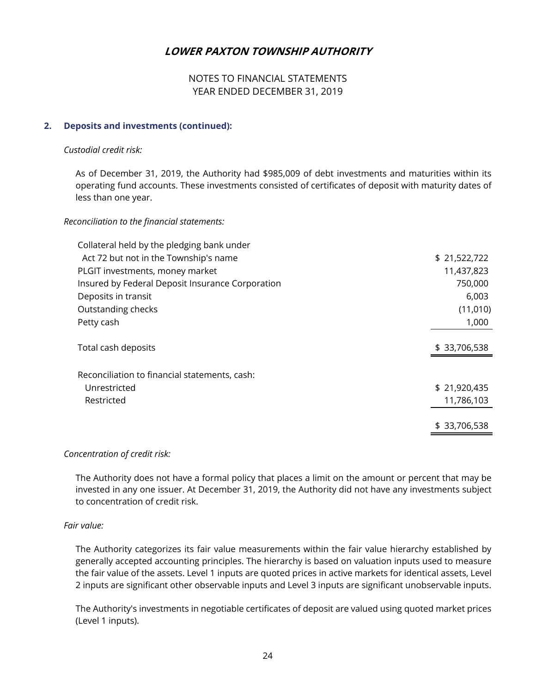## NOTES TO FINANCIAL STATEMENTS YEAR ENDED DECEMBER 31, 2019

#### **2. Deposits and investments (continued):**

#### *Custodial credit risk:*

 As of December 31, 2019, the Authority had \$985,009 of debt investments and maturities within its operating fund accounts. These investments consisted of certificates of deposit with maturity dates of less than one year.

#### *Reconciliation to the financial statements:*

| Collateral held by the pledging bank under       |              |
|--------------------------------------------------|--------------|
| Act 72 but not in the Township's name            | \$21,522,722 |
| PLGIT investments, money market                  | 11,437,823   |
| Insured by Federal Deposit Insurance Corporation | 750,000      |
| Deposits in transit                              | 6,003        |
| Outstanding checks                               | (11,010)     |
| Petty cash                                       | 1,000        |
|                                                  |              |
| Total cash deposits                              | \$33,706,538 |
|                                                  |              |
| Reconciliation to financial statements, cash:    |              |
| Unrestricted                                     | \$21,920,435 |
| Restricted                                       | 11,786,103   |
|                                                  |              |
|                                                  | \$33,706,538 |

#### *Concentration of credit risk:*

 The Authority does not have a formal policy that places a limit on the amount or percent that may be invested in any one issuer. At December 31, 2019, the Authority did not have any investments subject to concentration of credit risk.

#### *Fair value:*

 The Authority categorizes its fair value measurements within the fair value hierarchy established by generally accepted accounting principles. The hierarchy is based on valuation inputs used to measure the fair value of the assets. Level 1 inputs are quoted prices in active markets for identical assets, Level 2 inputs are significant other observable inputs and Level 3 inputs are significant unobservable inputs.

 The Authority's investments in negotiable certificates of deposit are valued using quoted market prices (Level 1 inputs).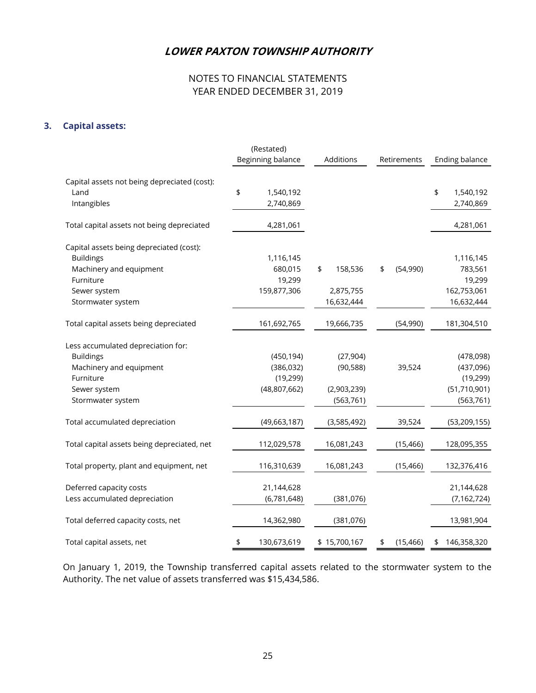# NOTES TO FINANCIAL STATEMENTS YEAR ENDED DECEMBER 31, 2019

### **3. Capital assets:**

|                                              | (Restated)<br>Beginning balance | Additions     | Retirements     | Ending balance    |
|----------------------------------------------|---------------------------------|---------------|-----------------|-------------------|
| Capital assets not being depreciated (cost): |                                 |               |                 |                   |
| Land                                         | \$<br>1,540,192                 |               |                 | \$<br>1,540,192   |
| Intangibles                                  | 2,740,869                       |               |                 | 2,740,869         |
| Total capital assets not being depreciated   | 4,281,061                       |               |                 | 4,281,061         |
| Capital assets being depreciated (cost):     |                                 |               |                 |                   |
| <b>Buildings</b>                             | 1,116,145                       |               |                 | 1,116,145         |
| Machinery and equipment                      | 680,015                         | \$<br>158,536 | \$<br>(54,990)  | 783,561           |
| Furniture                                    | 19,299                          |               |                 | 19,299            |
| Sewer system                                 | 159,877,306                     | 2,875,755     |                 | 162,753,061       |
| Stormwater system                            |                                 | 16,632,444    |                 | 16,632,444        |
| Total capital assets being depreciated       | 161,692,765                     | 19,666,735    | (54,990)        | 181,304,510       |
| Less accumulated depreciation for:           |                                 |               |                 |                   |
| <b>Buildings</b>                             | (450, 194)                      | (27, 904)     |                 | (478,098)         |
| Machinery and equipment                      | (386, 032)                      | (90, 588)     | 39,524          | (437,096)         |
| Furniture                                    | (19, 299)                       |               |                 | (19, 299)         |
| Sewer system                                 | (48,807,662)                    | (2,903,239)   |                 | (51, 710, 901)    |
| Stormwater system                            |                                 | (563, 761)    |                 | (563, 761)        |
| Total accumulated depreciation               | (49, 663, 187)                  | (3,585,492)   | 39,524          | (53, 209, 155)    |
| Total capital assets being depreciated, net  | 112,029,578                     | 16,081,243    | (15, 466)       | 128,095,355       |
| Total property, plant and equipment, net     | 116,310,639                     | 16,081,243    | (15, 466)       | 132,376,416       |
| Deferred capacity costs                      | 21,144,628                      |               |                 | 21,144,628        |
| Less accumulated depreciation                | (6,781,648)                     | (381, 076)    |                 | (7, 162, 724)     |
|                                              |                                 |               |                 |                   |
| Total deferred capacity costs, net           | 14,362,980                      | (381, 076)    |                 | 13,981,904        |
| Total capital assets, net                    | \$<br>130,673,619               | \$15,700,167  | \$<br>(15, 466) | \$<br>146,358,320 |

On January 1, 2019, the Township transferred capital assets related to the stormwater system to the Authority. The net value of assets transferred was \$15,434,586.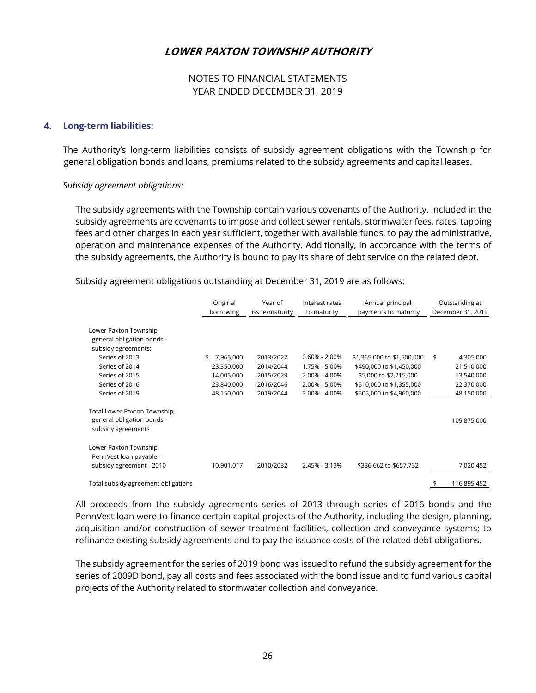## NOTES TO FINANCIAL STATEMENTS YEAR ENDED DECEMBER 31, 2019

#### **4. Long-term liabilities:**

 The Authority's long-term liabilities consists of subsidy agreement obligations with the Township for general obligation bonds and loans, premiums related to the subsidy agreements and capital leases.

#### *Subsidy agreement obligations:*

 The subsidy agreements with the Township contain various covenants of the Authority. Included in the subsidy agreements are covenants to impose and collect sewer rentals, stormwater fees, rates, tapping fees and other charges in each year sufficient, together with available funds, to pay the administrative, operation and maintenance expenses of the Authority. Additionally, in accordance with the terms of the subsidy agreements, the Authority is bound to pay its share of debt service on the related debt.

Original Year of Interest rates Annual principal Outstanding at borrowing issue/maturity to maturity payments to maturity December 31, 2019 Lower Paxton Township, general obligation bonds subsidy agreements: Series of 2013 **\$** 7,965,000 2013/2022 0.60% - 2.00% \$1,365,000 to \$1,500,000 \$ 4,305,000 Series of 2014 23,350,000 2014/2044 1.75% - 5.00% \$490,000 to \$1,450,000 21,510,000 Series of 2015 14,005,000 2015/2029 2.00% - 4.00% \$5,000 to \$2,215,000 13,540,000 Series of 2016 23,840,000 2016/2046 2.00% - 5.00% \$510,000 to \$1,355,000 22,370,000 Series of 2019 48,150,000 2019/2044 3.00% - 4.00% \$505,000 to \$4,960,000 48,150,000 Total Lower Paxton Township, general obligation bonds - 109,875,000 subsidy agreements Lower Paxton Township, PennVest loan payable subsidy agreement - 2010 10,901,017 2010/2032 2.45% - 3.13% \$336,662 to \$657,732 7,020,452 Total subsidy agreement obligations \$ 116,895,452

Subsidy agreement obligations outstanding at December 31, 2019 are as follows:

 All proceeds from the subsidy agreements series of 2013 through series of 2016 bonds and the PennVest loan were to finance certain capital projects of the Authority, including the design, planning, acquisition and/or construction of sewer treatment facilities, collection and conveyance systems; to refinance existing subsidy agreements and to pay the issuance costs of the related debt obligations.

 The subsidy agreement for the series of 2019 bond was issued to refund the subsidy agreement for the series of 2009D bond, pay all costs and fees associated with the bond issue and to fund various capital projects of the Authority related to stormwater collection and conveyance.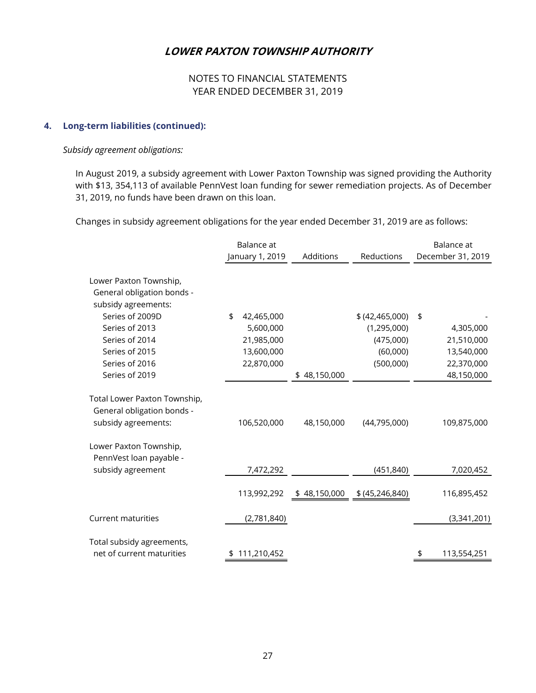## NOTES TO FINANCIAL STATEMENTS YEAR ENDED DECEMBER 31, 2019

#### **4. Long-term liabilities (continued):**

#### *Subsidy agreement obligations:*

In August 2019, a subsidy agreement with Lower Paxton Township was signed providing the Authority with \$13, 354,113 of available PennVest loan funding for sewer remediation projects. As of December 31, 2019, no funds have been drawn on this loan.

Changes in subsidy agreement obligations for the year ended December 31, 2019 are as follows:

|                              | Balance at<br>January 1, 2019 | Additions                     | Reductions        | Balance at<br>December 31, 2019 |
|------------------------------|-------------------------------|-------------------------------|-------------------|---------------------------------|
|                              |                               |                               |                   |                                 |
| Lower Paxton Township,       |                               |                               |                   |                                 |
| General obligation bonds -   |                               |                               |                   |                                 |
| subsidy agreements:          |                               |                               |                   |                                 |
| Series of 2009D              | \$<br>42,465,000              |                               | \$ (42, 465, 000) | \$                              |
| Series of 2013               | 5,600,000                     |                               | (1, 295, 000)     | 4,305,000                       |
| Series of 2014               | 21,985,000                    |                               | (475,000)         | 21,510,000                      |
| Series of 2015               | 13,600,000                    |                               | (60,000)          | 13,540,000                      |
| Series of 2016               | 22,870,000                    |                               | (500,000)         | 22,370,000                      |
| Series of 2019               |                               | \$48,150,000                  |                   | 48,150,000                      |
| Total Lower Paxton Township, |                               |                               |                   |                                 |
| General obligation bonds -   |                               |                               |                   |                                 |
| subsidy agreements:          | 106,520,000                   | 48,150,000                    | (44, 795, 000)    | 109,875,000                     |
| Lower Paxton Township,       |                               |                               |                   |                                 |
| PennVest loan payable -      |                               |                               |                   |                                 |
| subsidy agreement            | 7,472,292                     |                               | (451, 840)        | 7,020,452                       |
|                              |                               |                               |                   |                                 |
|                              | 113,992,292                   | $$48,150,000$ $$(45,246,840)$ |                   | 116,895,452                     |
| <b>Current maturities</b>    | (2,781,840)                   |                               |                   | (3,341,201)                     |
|                              |                               |                               |                   |                                 |
| Total subsidy agreements,    |                               |                               |                   |                                 |
| net of current maturities    | \$111,210,452                 |                               |                   | 113,554,251<br>\$               |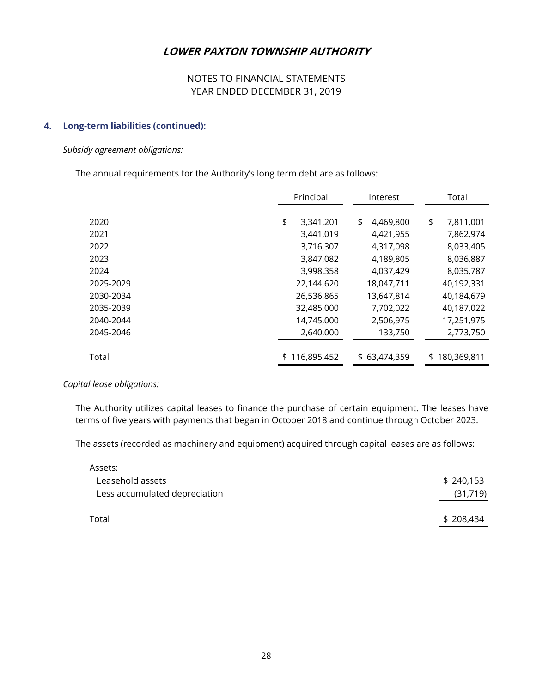## NOTES TO FINANCIAL STATEMENTS YEAR ENDED DECEMBER 31, 2019

#### **4. Long-term liabilities (continued):**

#### *Subsidy agreement obligations:*

The annual requirements for the Authority's long term debt are as follows:

|           | Principal       | Interest |              | Total             |  |
|-----------|-----------------|----------|--------------|-------------------|--|
|           |                 |          |              |                   |  |
| 2020      | \$<br>3,341,201 | \$       | 4,469,800    | \$<br>7,811,001   |  |
| 2021      | 3,441,019       |          | 4,421,955    | 7,862,974         |  |
| 2022      | 3,716,307       |          | 4,317,098    | 8,033,405         |  |
| 2023      | 3,847,082       |          | 4,189,805    | 8,036,887         |  |
| 2024      | 3,998,358       |          | 4,037,429    | 8,035,787         |  |
| 2025-2029 | 22,144,620      |          | 18,047,711   | 40,192,331        |  |
| 2030-2034 | 26,536,865      |          | 13,647,814   | 40,184,679        |  |
| 2035-2039 | 32,485,000      |          | 7,702,022    | 40,187,022        |  |
| 2040-2044 | 14,745,000      |          | 2,506,975    | 17,251,975        |  |
| 2045-2046 | 2,640,000       |          | 133,750      | 2,773,750         |  |
|           |                 |          |              |                   |  |
| Total     | \$116,895,452   |          | \$63,474,359 | \$<br>180,369,811 |  |

#### *Capital lease obligations:*

 The Authority utilizes capital leases to finance the purchase of certain equipment. The leases have terms of five years with payments that began in October 2018 and continue through October 2023.

The assets (recorded as machinery and equipment) acquired through capital leases are as follows:

| Assets:                       |           |
|-------------------------------|-----------|
| Leasehold assets              | \$240,153 |
| Less accumulated depreciation | (31, 719) |
|                               |           |
| Total                         | \$208,434 |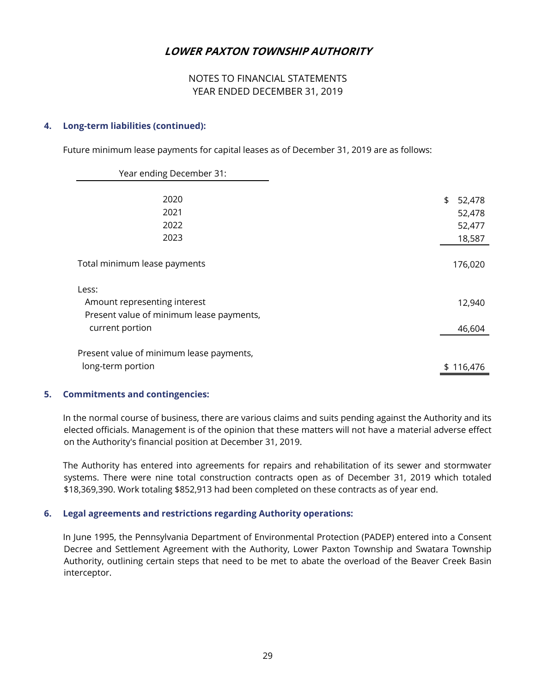## NOTES TO FINANCIAL STATEMENTS YEAR ENDED DECEMBER 31, 2019

#### **4. Long-term liabilities (continued):**

Future minimum lease payments for capital leases as of December 31, 2019 are as follows:

| Year ending December 31:                                                                             |                                            |
|------------------------------------------------------------------------------------------------------|--------------------------------------------|
| 2020<br>2021<br>2022<br>2023                                                                         | \$<br>52,478<br>52,478<br>52,477<br>18,587 |
| Total minimum lease payments                                                                         | 176,020                                    |
| Less:<br>Amount representing interest<br>Present value of minimum lease payments,<br>current portion | 12,940<br>46,604                           |
| Present value of minimum lease payments,<br>long-term portion                                        | \$116,476                                  |

#### **5. Commitments and contingencies:**

 In the normal course of business, there are various claims and suits pending against the Authority and its elected officials. Management is of the opinion that these matters will not have a material adverse effect on the Authority's financial position at December 31, 2019.

 The Authority has entered into agreements for repairs and rehabilitation of its sewer and stormwater systems. There were nine total construction contracts open as of December 31, 2019 which totaled \$18,369,390. Work totaling \$852,913 had been completed on these contracts as of year end.

## **6. Legal agreements and restrictions regarding Authority operations:**

 In June 1995, the Pennsylvania Department of Environmental Protection (PADEP) entered into a Consent Decree and Settlement Agreement with the Authority, Lower Paxton Township and Swatara Township Authority, outlining certain steps that need to be met to abate the overload of the Beaver Creek Basin interceptor.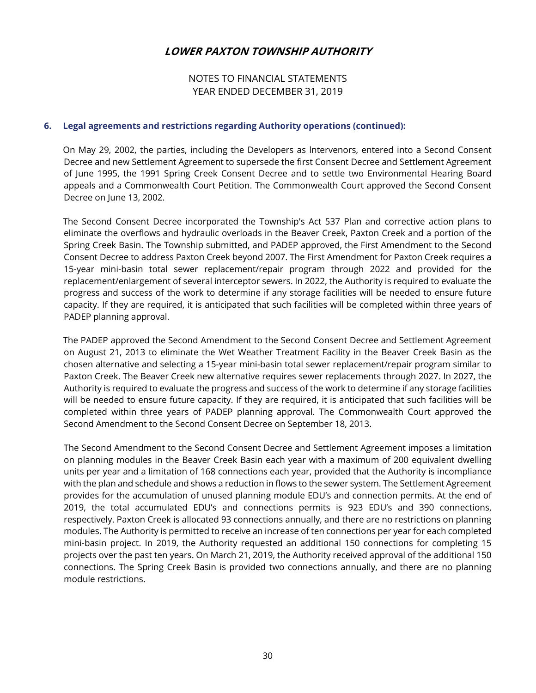NOTES TO FINANCIAL STATEMENTS YEAR ENDED DECEMBER 31, 2019

#### **6. Legal agreements and restrictions regarding Authority operations (continued):**

 On May 29, 2002, the parties, including the Developers as lntervenors, entered into a Second Consent Decree and new Settlement Agreement to supersede the first Consent Decree and Settlement Agreement of June 1995, the 1991 Spring Creek Consent Decree and to settle two Environmental Hearing Board appeals and a Commonwealth Court Petition. The Commonwealth Court approved the Second Consent Decree on June 13, 2002.

 The Second Consent Decree incorporated the Township's Act 537 Plan and corrective action plans to eliminate the overflows and hydraulic overloads in the Beaver Creek, Paxton Creek and a portion of the Spring Creek Basin. The Township submitted, and PADEP approved, the First Amendment to the Second Consent Decree to address Paxton Creek beyond 2007. The First Amendment for Paxton Creek requires a 15-year mini-basin total sewer replacement/repair program through 2022 and provided for the replacement/enlargement of several interceptor sewers. In 2022, the Authority is required to evaluate the progress and success of the work to determine if any storage facilities will be needed to ensure future capacity. If they are required, it is anticipated that such facilities will be completed within three years of PADEP planning approval.

 The PADEP approved the Second Amendment to the Second Consent Decree and Settlement Agreement on August 21, 2013 to eliminate the Wet Weather Treatment Facility in the Beaver Creek Basin as the chosen alternative and selecting a 15-year mini-basin total sewer replacement/repair program similar to Paxton Creek. The Beaver Creek new alternative requires sewer replacements through 2027. In 2027, the Authority is required to evaluate the progress and success of the work to determine if any storage facilities will be needed to ensure future capacity. If they are required, it is anticipated that such facilities will be completed within three years of PADEP planning approval. The Commonwealth Court approved the Second Amendment to the Second Consent Decree on September 18, 2013.

The Second Amendment to the Second Consent Decree and Settlement Agreement imposes a limitation on planning modules in the Beaver Creek Basin each year with a maximum of 200 equivalent dwelling units per year and a limitation of 168 connections each year, provided that the Authority is incompliance with the plan and schedule and shows a reduction in flows to the sewer system. The Settlement Agreement provides for the accumulation of unused planning module EDU's and connection permits. At the end of 2019, the total accumulated EDU's and connections permits is 923 EDU's and 390 connections, respectively. Paxton Creek is allocated 93 connections annually, and there are no restrictions on planning modules. The Authority is permitted to receive an increase of ten connections per year for each completed mini-basin project. In 2019, the Authority requested an additional 150 connections for completing 15 projects over the past ten years. On March 21, 2019, the Authority received approval of the additional 150 connections. The Spring Creek Basin is provided two connections annually, and there are no planning module restrictions.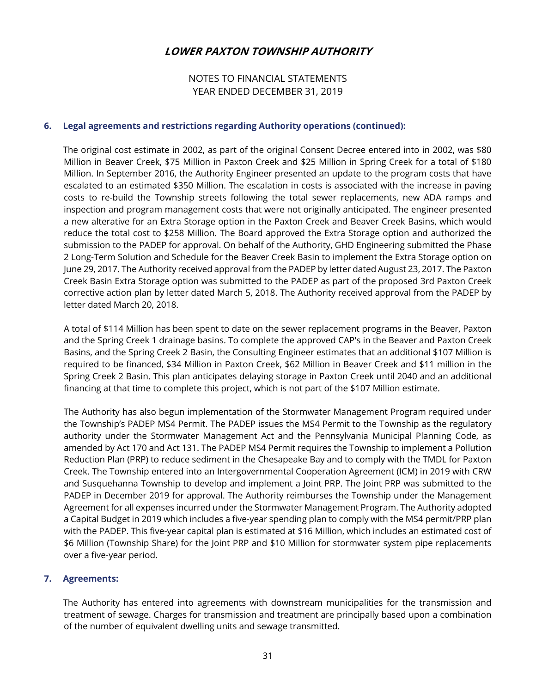## NOTES TO FINANCIAL STATEMENTS YEAR ENDED DECEMBER 31, 2019

#### **6. Legal agreements and restrictions regarding Authority operations (continued):**

 The original cost estimate in 2002, as part of the original Consent Decree entered into in 2002, was \$80 Million in Beaver Creek, \$75 Million in Paxton Creek and \$25 Million in Spring Creek for a total of \$180 Million. In September 2016, the Authority Engineer presented an update to the program costs that have escalated to an estimated \$350 Million. The escalation in costs is associated with the increase in paving costs to re-build the Township streets following the total sewer replacements, new ADA ramps and inspection and program management costs that were not originally anticipated. The engineer presented a new alterative for an Extra Storage option in the Paxton Creek and Beaver Creek Basins, which would reduce the total cost to \$258 Million. The Board approved the Extra Storage option and authorized the submission to the PADEP for approval. On behalf of the Authority, GHD Engineering submitted the Phase 2 Long-Term Solution and Schedule for the Beaver Creek Basin to implement the Extra Storage option on June 29, 2017. The Authority received approval from the PADEP by letter dated August 23, 2017. The Paxton Creek Basin Extra Storage option was submitted to the PADEP as part of the proposed 3rd Paxton Creek corrective action plan by letter dated March 5, 2018. The Authority received approval from the PADEP by letter dated March 20, 2018.

A total of \$114 Million has been spent to date on the sewer replacement programs in the Beaver, Paxton and the Spring Creek 1 drainage basins. To complete the approved CAP's in the Beaver and Paxton Creek Basins, and the Spring Creek 2 Basin, the Consulting Engineer estimates that an additional \$107 Million is required to be financed, \$34 Million in Paxton Creek, \$62 Million in Beaver Creek and \$11 million in the Spring Creek 2 Basin. This plan anticipates delaying storage in Paxton Creek until 2040 and an additional financing at that time to complete this project, which is not part of the \$107 Million estimate.

The Authority has also begun implementation of the Stormwater Management Program required under the Township's PADEP MS4 Permit. The PADEP issues the MS4 Permit to the Township as the regulatory authority under the Stormwater Management Act and the Pennsylvania Municipal Planning Code, as amended by Act 170 and Act 131. The PADEP MS4 Permit requires the Township to implement a Pollution Reduction Plan (PRP) to reduce sediment in the Chesapeake Bay and to comply with the TMDL for Paxton Creek. The Township entered into an Intergovernmental Cooperation Agreement (ICM) in 2019 with CRW and Susquehanna Township to develop and implement a Joint PRP. The Joint PRP was submitted to the PADEP in December 2019 for approval. The Authority reimburses the Township under the Management Agreement for all expenses incurred under the Stormwater Management Program. The Authority adopted a Capital Budget in 2019 which includes a five-year spending plan to comply with the MS4 permit/PRP plan with the PADEP. This five-year capital plan is estimated at \$16 Million, which includes an estimated cost of \$6 Million (Township Share) for the Joint PRP and \$10 Million for stormwater system pipe replacements over a five-year period.

#### **7. Agreements:**

 The Authority has entered into agreements with downstream municipalities for the transmission and treatment of sewage. Charges for transmission and treatment are principally based upon a combination of the number of equivalent dwelling units and sewage transmitted.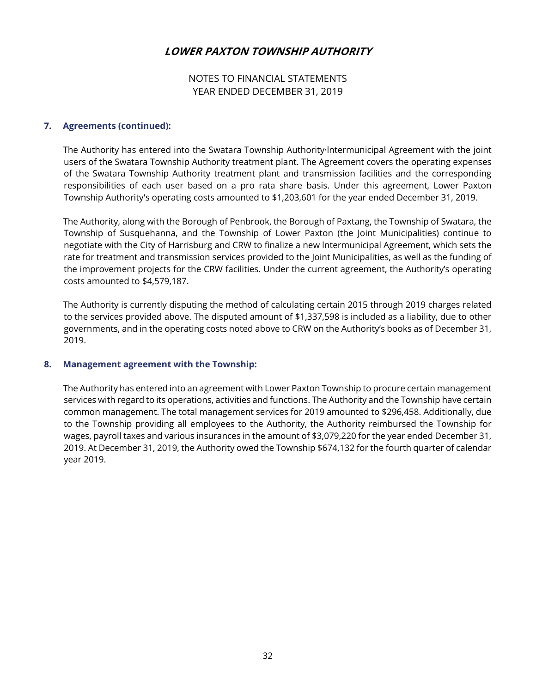## NOTES TO FINANCIAL STATEMENTS YEAR ENDED DECEMBER 31, 2019

#### **7. Agreements (continued):**

 The Authority has entered into the Swatara Township Authority·lntermunicipal Agreement with the joint users of the Swatara Township Authority treatment plant. The Agreement covers the operating expenses of the Swatara Township Authority treatment plant and transmission facilities and the corresponding responsibilities of each user based on a pro rata share basis. Under this agreement, Lower Paxton Township Authority's operating costs amounted to \$1,203,601 for the year ended December 31, 2019.

 The Authority, along with the Borough of Penbrook, the Borough of Paxtang, the Township of Swatara, the Township of Susquehanna, and the Township of Lower Paxton (the Joint Municipalities) continue to negotiate with the City of Harrisburg and CRW to finalize a new lntermunicipal Agreement, which sets the rate for treatment and transmission services provided to the Joint Municipalities, as well as the funding of the improvement projects for the CRW facilities. Under the current agreement, the Authority's operating costs amounted to \$4,579,187.

 The Authority is currently disputing the method of calculating certain 2015 through 2019 charges related to the services provided above. The disputed amount of \$1,337,598 is included as a liability, due to other governments, and in the operating costs noted above to CRW on the Authority's books as of December 31, 2019.

#### **8. Management agreement with the Township:**

 The Authority has entered into an agreement with Lower Paxton Township to procure certain management services with regard to its operations, activities and functions. The Authority and the Township have certain common management. The total management services for 2019 amounted to \$296,458. Additionally, due to the Township providing all employees to the Authority, the Authority reimbursed the Township for wages, payroll taxes and various insurances in the amount of \$3,079,220 for the year ended December 31, 2019. At December 31, 2019, the Authority owed the Township \$674,132 for the fourth quarter of calendar year 2019.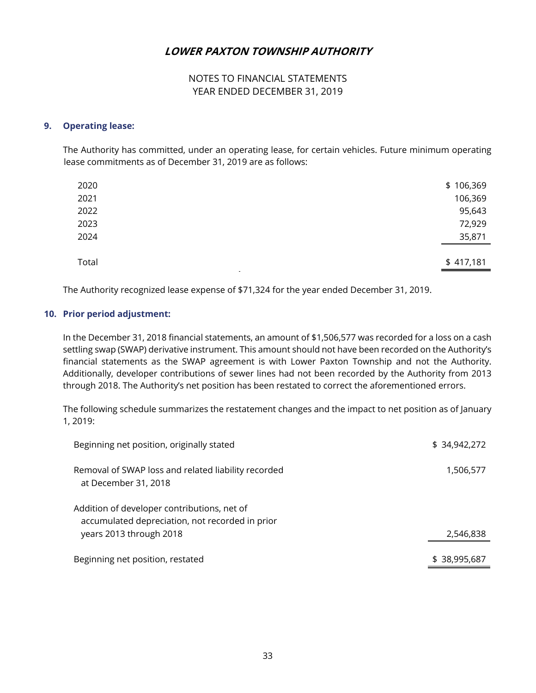## NOTES TO FINANCIAL STATEMENTS YEAR ENDED DECEMBER 31, 2019

#### **9. Operating lease:**

 The Authority has committed, under an operating lease, for certain vehicles. Future minimum operating lease commitments as of December 31, 2019 are as follows:

| 2020            | \$106,369 |
|-----------------|-----------|
| 2021            | 106,369   |
| 2022            | 95,643    |
| 2023            | 72,929    |
| 2024            | 35,871    |
| Total<br>$\sim$ | \$417,181 |

The Authority recognized lease expense of \$71,324 for the year ended December 31, 2019.

#### **10. Prior period adjustment:**

In the December 31, 2018 financial statements, an amount of \$1,506,577 was recorded for a loss on a cash settling swap (SWAP) derivative instrument. This amount should not have been recorded on the Authority's financial statements as the SWAP agreement is with Lower Paxton Township and not the Authority. Additionally, developer contributions of sewer lines had not been recorded by the Authority from 2013 through 2018. The Authority's net position has been restated to correct the aforementioned errors.

The following schedule summarizes the restatement changes and the impact to net position as of January 1, 2019:

| Beginning net position, originally stated                                                                                 | \$34,942,272 |
|---------------------------------------------------------------------------------------------------------------------------|--------------|
| Removal of SWAP loss and related liability recorded<br>at December 31, 2018                                               | 1,506,577    |
| Addition of developer contributions, net of<br>accumulated depreciation, not recorded in prior<br>years 2013 through 2018 | 2,546,838    |
| Beginning net position, restated                                                                                          | \$38,995,687 |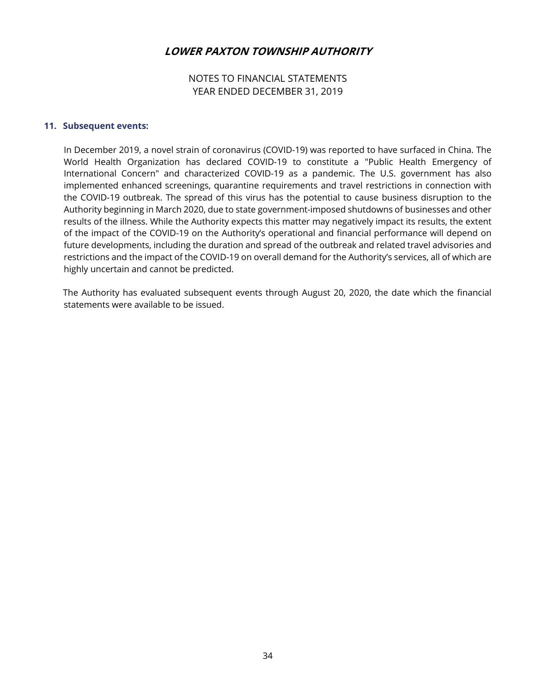## NOTES TO FINANCIAL STATEMENTS YEAR ENDED DECEMBER 31, 2019

#### **11. Subsequent events:**

In December 2019, a novel strain of coronavirus (COVID-19) was reported to have surfaced in China. The World Health Organization has declared COVID-19 to constitute a "Public Health Emergency of International Concern" and characterized COVID-19 as a pandemic. The U.S. government has also implemented enhanced screenings, quarantine requirements and travel restrictions in connection with the COVID-19 outbreak. The spread of this virus has the potential to cause business disruption to the Authority beginning in March 2020, due to state government-imposed shutdowns of businesses and other results of the illness. While the Authority expects this matter may negatively impact its results, the extent of the impact of the COVID-19 on the Authority's operational and financial performance will depend on future developments, including the duration and spread of the outbreak and related travel advisories and restrictions and the impact of the COVID-19 on overall demand for the Authority's services, all of which are highly uncertain and cannot be predicted.

 The Authority has evaluated subsequent events through August 20, 2020, the date which the financial statements were available to be issued.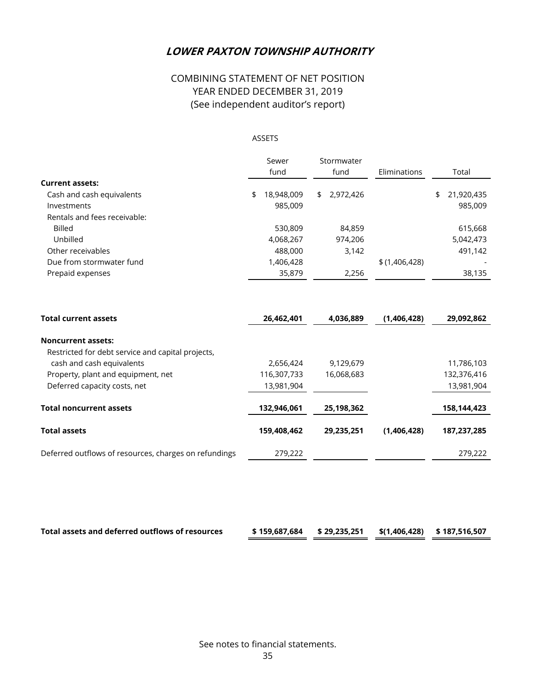# COMBINING STATEMENT OF NET POSITION YEAR ENDED DECEMBER 31, 2019 (See independent auditor's report)

#### ASSETS

|                                                       | Sewer            | Stormwater      |               |                  |
|-------------------------------------------------------|------------------|-----------------|---------------|------------------|
|                                                       | fund             | fund            | Eliminations  | Total            |
| <b>Current assets:</b>                                |                  |                 |               |                  |
| Cash and cash equivalents                             | 18,948,009<br>\$ | 2,972,426<br>\$ |               | \$<br>21,920,435 |
| Investments                                           | 985,009          |                 |               | 985,009          |
| Rentals and fees receivable:                          |                  |                 |               |                  |
| <b>Billed</b>                                         | 530,809          | 84,859          |               | 615,668          |
| Unbilled                                              | 4,068,267        | 974,206         |               | 5,042,473        |
| Other receivables                                     | 488,000          | 3,142           |               | 491,142          |
| Due from stormwater fund                              | 1,406,428        |                 | \$(1,406,428) |                  |
| Prepaid expenses                                      | 35,879           | 2,256           |               | 38,135           |
| <b>Total current assets</b>                           | 26,462,401       | 4,036,889       | (1,406,428)   | 29,092,862       |
| <b>Noncurrent assets:</b>                             |                  |                 |               |                  |
| Restricted for debt service and capital projects,     |                  |                 |               |                  |
| cash and cash equivalents                             | 2,656,424        | 9,129,679       |               | 11,786,103       |
| Property, plant and equipment, net                    | 116,307,733      | 16,068,683      |               | 132,376,416      |
| Deferred capacity costs, net                          | 13,981,904       |                 |               | 13,981,904       |
| <b>Total noncurrent assets</b>                        | 132,946,061      | 25,198,362      |               | 158,144,423      |
| <b>Total assets</b>                                   | 159,408,462      | 29,235,251      | (1,406,428)   | 187,237,285      |
| Deferred outflows of resources, charges on refundings | 279,222          |                 |               | 279,222          |

| Total assets and deferred outflows of resources | \$159,687,684 \$29,235,251 \$(1,406,428) \$187,516,507 |  |  |
|-------------------------------------------------|--------------------------------------------------------|--|--|
|                                                 |                                                        |  |  |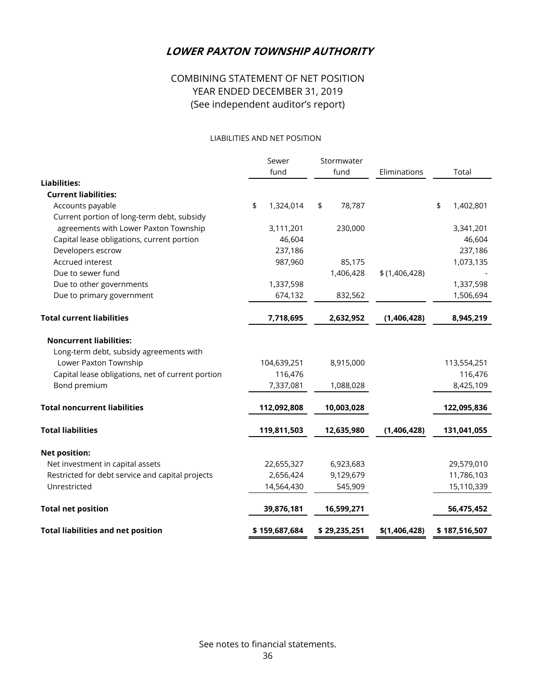# COMBINING STATEMENT OF NET POSITION YEAR ENDED DECEMBER 31, 2019 (See independent auditor's report)

#### LIABILITIES AND NET POSITION

|                                                   | Sewer           | Stormwater   |               |                 |
|---------------------------------------------------|-----------------|--------------|---------------|-----------------|
|                                                   | fund            | fund         | Eliminations  | Total           |
| <b>Liabilities:</b>                               |                 |              |               |                 |
| <b>Current liabilities:</b>                       |                 |              |               |                 |
| Accounts payable                                  | \$<br>1,324,014 | \$<br>78,787 |               | \$<br>1,402,801 |
| Current portion of long-term debt, subsidy        |                 |              |               |                 |
| agreements with Lower Paxton Township             | 3,111,201       | 230,000      |               | 3,341,201       |
| Capital lease obligations, current portion        | 46,604          |              |               | 46,604          |
| Developers escrow                                 | 237,186         |              |               | 237,186         |
| Accrued interest                                  | 987,960         | 85,175       |               | 1,073,135       |
| Due to sewer fund                                 |                 | 1,406,428    | \$(1,406,428) |                 |
| Due to other governments                          | 1,337,598       |              |               | 1,337,598       |
| Due to primary government                         | 674,132         | 832,562      |               | 1,506,694       |
| <b>Total current liabilities</b>                  | 7,718,695       | 2,632,952    | (1,406,428)   | 8,945,219       |
| <b>Noncurrent liabilities:</b>                    |                 |              |               |                 |
| Long-term debt, subsidy agreements with           |                 |              |               |                 |
| Lower Paxton Township                             | 104,639,251     | 8,915,000    |               | 113,554,251     |
| Capital lease obligations, net of current portion | 116,476         |              |               | 116,476         |
| Bond premium                                      | 7,337,081       | 1,088,028    |               | 8,425,109       |
| <b>Total noncurrent liabilities</b>               | 112,092,808     | 10,003,028   |               | 122,095,836     |
| <b>Total liabilities</b>                          | 119,811,503     | 12,635,980   | (1,406,428)   | 131,041,055     |
| <b>Net position:</b>                              |                 |              |               |                 |
| Net investment in capital assets                  | 22,655,327      | 6,923,683    |               | 29,579,010      |
| Restricted for debt service and capital projects  | 2,656,424       | 9,129,679    |               | 11,786,103      |
| Unrestricted                                      | 14,564,430      | 545,909      |               | 15,110,339      |
| <b>Total net position</b>                         | 39,876,181      | 16,599,271   |               | 56,475,452      |
| <b>Total liabilities and net position</b>         | \$159,687,684   | \$29,235,251 | \$(1,406,428) | \$187,516,507   |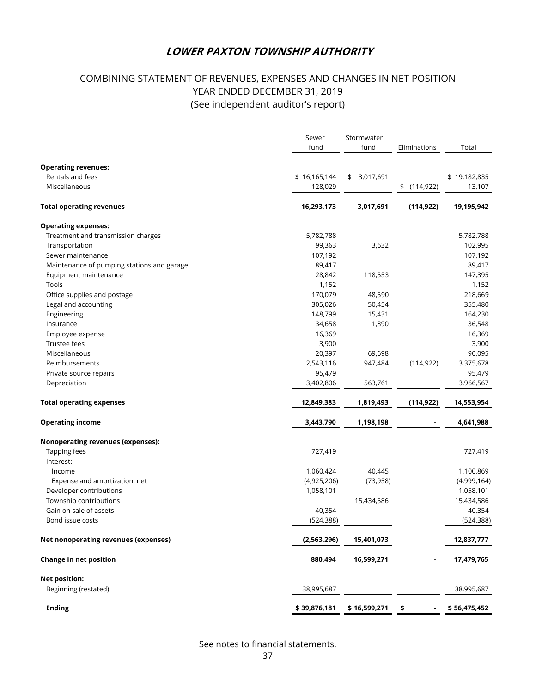# COMBINING STATEMENT OF REVENUES, EXPENSES AND CHANGES IN NET POSITION YEAR ENDED DECEMBER 31, 2019 (See independent auditor's report)

|                                            |              | Stormwater<br>Sewer |              |              |  |  |
|--------------------------------------------|--------------|---------------------|--------------|--------------|--|--|
|                                            | fund         | fund                | Eliminations | Total        |  |  |
| <b>Operating revenues:</b>                 |              |                     |              |              |  |  |
| Rentals and fees                           | \$16,165,144 | \$3,017,691         |              | \$19,182,835 |  |  |
| Miscellaneous                              | 128,029      |                     | \$(114, 922) | 13,107       |  |  |
| <b>Total operating revenues</b>            | 16,293,173   | 3,017,691           | (114, 922)   | 19,195,942   |  |  |
| <b>Operating expenses:</b>                 |              |                     |              |              |  |  |
| Treatment and transmission charges         | 5,782,788    |                     |              | 5,782,788    |  |  |
| Transportation                             | 99,363       | 3,632               |              | 102,995      |  |  |
| Sewer maintenance                          | 107,192      |                     |              | 107,192      |  |  |
| Maintenance of pumping stations and garage | 89,417       |                     |              | 89,417       |  |  |
| Equipment maintenance                      | 28,842       | 118,553             |              | 147,395      |  |  |
| Tools                                      | 1,152        |                     |              | 1,152        |  |  |
| Office supplies and postage                | 170,079      | 48,590              |              | 218,669      |  |  |
| Legal and accounting                       | 305,026      | 50,454              |              | 355,480      |  |  |
| Engineering                                | 148,799      | 15,431              |              | 164,230      |  |  |
| Insurance                                  | 34,658       | 1,890               |              | 36,548       |  |  |
| Employee expense                           | 16,369       |                     |              | 16,369       |  |  |
| Trustee fees                               | 3,900        |                     |              | 3,900        |  |  |
| Miscellaneous                              | 20,397       | 69,698              |              | 90,095       |  |  |
| Reimbursements                             | 2,543,116    | 947,484             | (114, 922)   | 3,375,678    |  |  |
| Private source repairs                     | 95,479       |                     |              | 95,479       |  |  |
| Depreciation                               | 3,402,806    | 563,761             |              | 3,966,567    |  |  |
| <b>Total operating expenses</b>            | 12,849,383   | 1,819,493           | (114, 922)   | 14,553,954   |  |  |
| <b>Operating income</b>                    | 3,443,790    | 1,198,198           |              | 4,641,988    |  |  |
| <b>Nonoperating revenues (expenses):</b>   |              |                     |              |              |  |  |
| Tapping fees                               | 727,419      |                     |              | 727,419      |  |  |
| Interest:                                  |              |                     |              |              |  |  |
| Income                                     | 1,060,424    | 40,445              |              | 1,100,869    |  |  |
| Expense and amortization, net              | (4,925,206)  | (73, 958)           |              | (4,999,164)  |  |  |
| Developer contributions                    | 1,058,101    |                     |              | 1,058,101    |  |  |
| Township contributions                     |              | 15,434,586          |              | 15,434,586   |  |  |
| Gain on sale of assets                     | 40,354       |                     |              | 40,354       |  |  |
| Bond issue costs                           | (524, 388)   |                     |              | (524, 388)   |  |  |
| Net nonoperating revenues (expenses)       | (2,563,296)  | 15,401,073          |              | 12,837,777   |  |  |
| Change in net position                     | 880,494      | 16,599,271          |              | 17,479,765   |  |  |
| <b>Net position:</b>                       |              |                     |              |              |  |  |
| Beginning (restated)                       | 38,995,687   |                     |              | 38,995,687   |  |  |
| <b>Ending</b>                              | \$39,876,181 | \$16,599,271        | \$           | \$56,475,452 |  |  |

See notes to financial statements.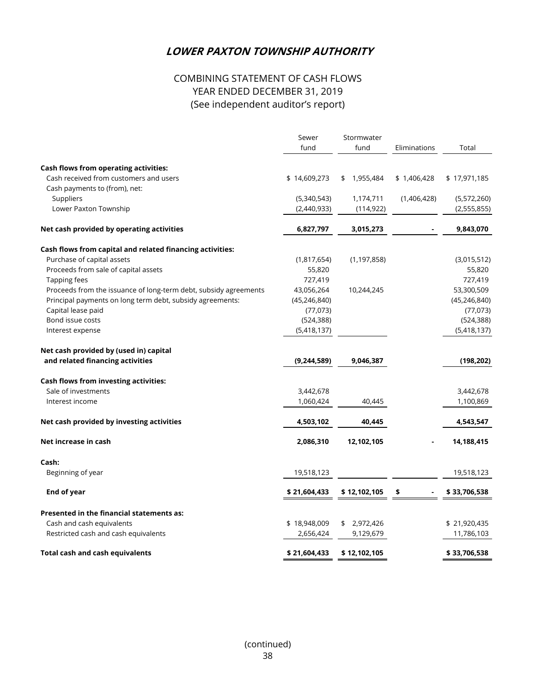# COMBINING STATEMENT OF CASH FLOWS YEAR ENDED DECEMBER 31, 2019 (See independent auditor's report)

|                                                                  | Sewer          | Stormwater              |              |                            |  |  |
|------------------------------------------------------------------|----------------|-------------------------|--------------|----------------------------|--|--|
|                                                                  | fund           | fund                    | Eliminations | Total                      |  |  |
|                                                                  |                |                         |              |                            |  |  |
| <b>Cash flows from operating activities:</b>                     |                |                         |              |                            |  |  |
| Cash received from customers and users                           | \$14,609,273   | 1,955,484<br>\$         | \$1,406,428  | \$17,971,185               |  |  |
| Cash payments to (from), net:                                    |                |                         |              |                            |  |  |
| Suppliers<br>Lower Paxton Township                               | (5,340,543)    | 1,174,711<br>(114, 922) | (1,406,428)  | (5,572,260)<br>(2,555,855) |  |  |
|                                                                  | (2,440,933)    |                         |              |                            |  |  |
| Net cash provided by operating activities                        | 6,827,797      | 3,015,273               |              | 9,843,070                  |  |  |
| Cash flows from capital and related financing activities:        |                |                         |              |                            |  |  |
| Purchase of capital assets                                       | (1,817,654)    | (1, 197, 858)           |              | (3,015,512)                |  |  |
| Proceeds from sale of capital assets                             | 55,820         |                         |              | 55,820                     |  |  |
| Tapping fees                                                     | 727,419        |                         |              | 727,419                    |  |  |
| Proceeds from the issuance of long-term debt, subsidy agreements | 43,056,264     | 10,244,245              |              | 53,300,509                 |  |  |
| Principal payments on long term debt, subsidy agreements:        | (45, 246, 840) |                         |              | (45, 246, 840)             |  |  |
| Capital lease paid                                               | (77, 073)      |                         |              | (77, 073)                  |  |  |
| Bond issue costs                                                 | (524, 388)     |                         |              | (524, 388)                 |  |  |
| Interest expense                                                 | (5,418,137)    |                         |              | (5,418,137)                |  |  |
| Net cash provided by (used in) capital                           |                |                         |              |                            |  |  |
| and related financing activities                                 | (9,244,589)    | 9,046,387               |              | (198, 202)                 |  |  |
| Cash flows from investing activities:                            |                |                         |              |                            |  |  |
| Sale of investments                                              | 3,442,678      |                         |              | 3,442,678                  |  |  |
| Interest income                                                  | 1,060,424      | 40,445                  |              | 1,100,869                  |  |  |
| Net cash provided by investing activities                        | 4,503,102      | 40,445                  |              | 4,543,547                  |  |  |
| Net increase in cash                                             | 2,086,310      | 12,102,105              |              | 14,188,415                 |  |  |
|                                                                  |                |                         |              |                            |  |  |
| Cash:                                                            |                |                         |              |                            |  |  |
| Beginning of year                                                | 19,518,123     |                         |              | 19,518,123                 |  |  |
| <b>End of year</b>                                               | \$21,604,433   | \$12,102,105            | \$           | \$33,706,538               |  |  |
| Presented in the financial statements as:                        |                |                         |              |                            |  |  |
| Cash and cash equivalents                                        | \$18,948,009   | 2,972,426<br>\$         |              | \$21,920,435               |  |  |
| Restricted cash and cash equivalents                             | 2,656,424      | 9,129,679               |              | 11,786,103                 |  |  |
| <b>Total cash and cash equivalents</b>                           | \$21,604,433   | \$12,102,105            |              | \$33,706,538               |  |  |
|                                                                  |                |                         |              |                            |  |  |